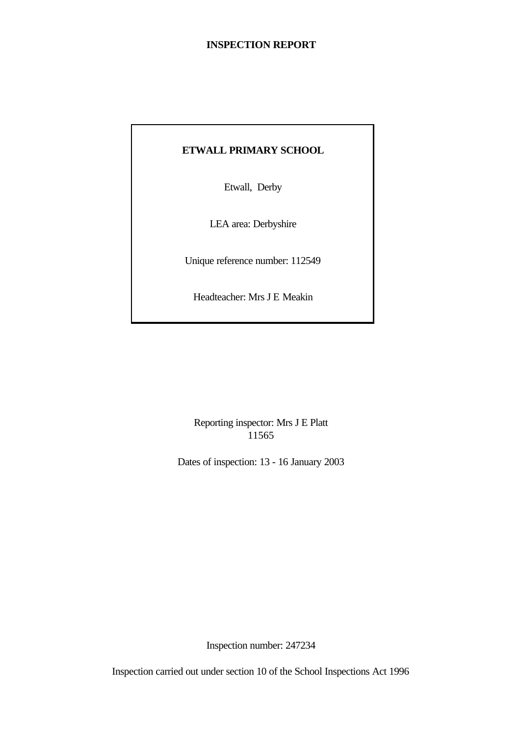## **INSPECTION REPORT**

## **ETWALL PRIMARY SCHOOL**

Etwall, Derby

LEA area: Derbyshire

Unique reference number: 112549

Headteacher: Mrs J E Meakin

Reporting inspector: Mrs J E Platt 11565

Dates of inspection: 13 - 16 January 2003

Inspection number: 247234

Inspection carried out under section 10 of the School Inspections Act 1996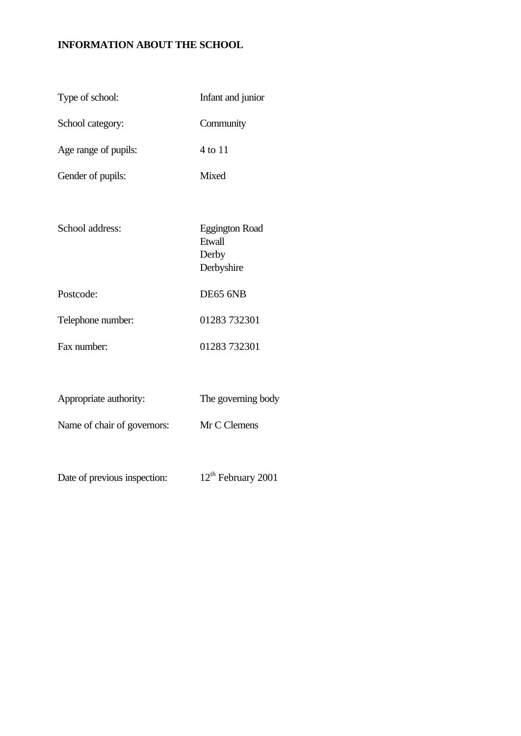## **INFORMATION ABOUT THE SCHOOL**

| Type of school:              | Infant and junior                                      |
|------------------------------|--------------------------------------------------------|
| School category:             | Community                                              |
| Age range of pupils:         | 4 to 11                                                |
| Gender of pupils:            | <b>Mixed</b>                                           |
|                              |                                                        |
| School address:              | <b>Eggington Road</b><br>Etwall<br>Derby<br>Derbyshire |
| Postcode:                    | DE65 6NB                                               |
| Telephone number:            | 01283 732301                                           |
| Fax number:                  | 01283 732301                                           |
|                              |                                                        |
| Appropriate authority:       | The governing body                                     |
| Name of chair of governors:  | Mr C Clemens                                           |
|                              |                                                        |
| Date of previous inspection: | 12 <sup>th</sup> February 2001                         |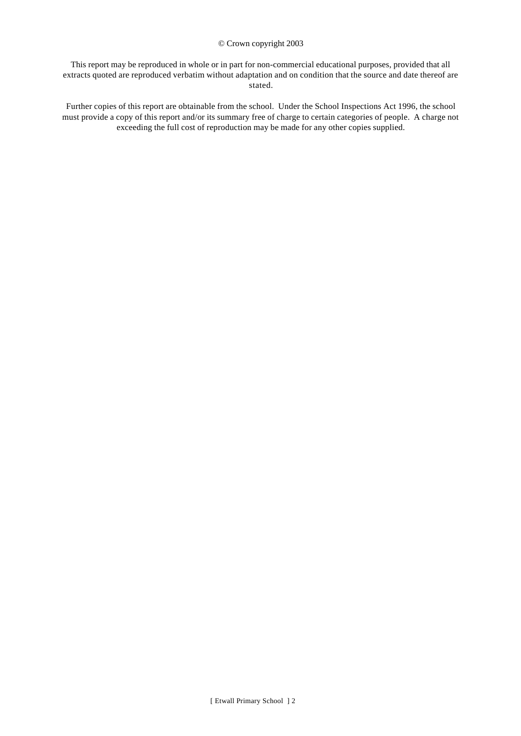#### © Crown copyright 2003

This report may be reproduced in whole or in part for non-commercial educational purposes, provided that all extracts quoted are reproduced verbatim without adaptation and on condition that the source and date thereof are stated.

Further copies of this report are obtainable from the school. Under the School Inspections Act 1996, the school must provide a copy of this report and/or its summary free of charge to certain categories of people. A charge not exceeding the full cost of reproduction may be made for any other copies supplied.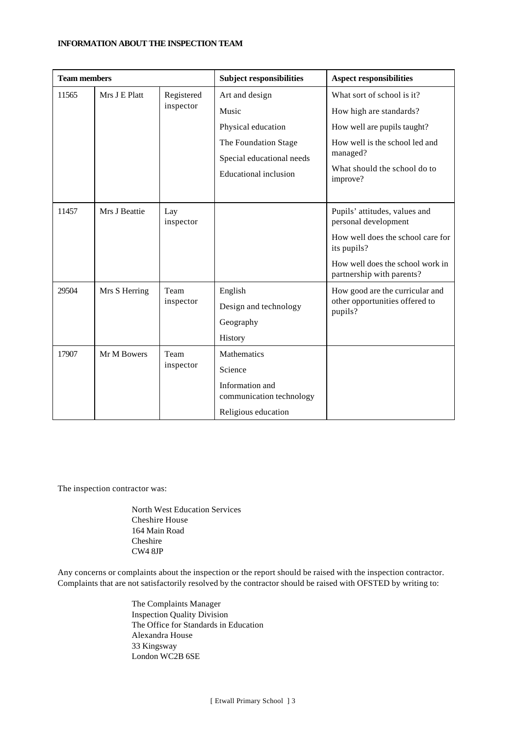#### **INFORMATION ABOUT THE INSPECTION TEAM**

| <b>Team members</b>                  |               | <b>Subject responsibilities</b> | <b>Aspect responsibilities</b>              |                                                               |
|--------------------------------------|---------------|---------------------------------|---------------------------------------------|---------------------------------------------------------------|
| Mrs J E Platt<br>11565<br>Registered |               | Art and design                  | What sort of school is it?                  |                                                               |
|                                      |               | inspector                       | Music                                       | How high are standards?                                       |
|                                      |               |                                 | Physical education                          | How well are pupils taught?                                   |
|                                      |               |                                 | The Foundation Stage                        | How well is the school led and                                |
|                                      |               |                                 | Special educational needs                   | managed?                                                      |
|                                      |               |                                 | <b>Educational inclusion</b>                | What should the school do to<br>improve?                      |
|                                      |               |                                 |                                             |                                                               |
| 11457                                | Mrs J Beattie | Lay<br>inspector                |                                             | Pupils' attitudes, values and<br>personal development         |
|                                      |               |                                 |                                             | How well does the school care for<br>its pupils?              |
|                                      |               |                                 |                                             | How well does the school work in<br>partnership with parents? |
| 29504                                | Mrs S Herring | Team                            | English                                     | How good are the curricular and                               |
|                                      |               | inspector                       | Design and technology                       | other opportunities offered to<br>pupils?                     |
|                                      |               |                                 | Geography                                   |                                                               |
|                                      |               |                                 | History                                     |                                                               |
| 17907                                | Mr M Bowers   | Team                            | Mathematics                                 |                                                               |
|                                      | inspector     |                                 | Science                                     |                                                               |
|                                      |               |                                 | Information and<br>communication technology |                                                               |
|                                      |               |                                 | Religious education                         |                                                               |

The inspection contractor was:

North West Education Services Cheshire House 164 Main Road Cheshire CW4 8JP

Any concerns or complaints about the inspection or the report should be raised with the inspection contractor. Complaints that are not satisfactorily resolved by the contractor should be raised with OFSTED by writing to:

> The Complaints Manager Inspection Quality Division The Office for Standards in Education Alexandra House 33 Kingsway London WC2B 6SE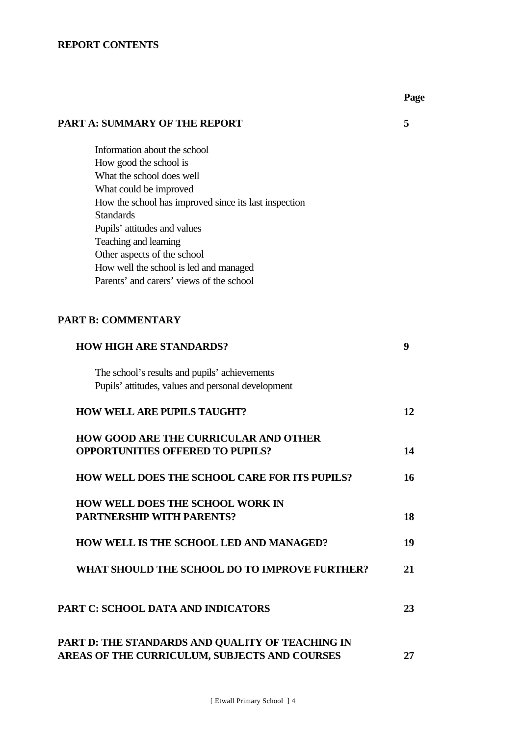## **REPORT CONTENTS**

| <b>PART A: SUMMARY OF THE REPORT</b>                                                    | 5  |
|-----------------------------------------------------------------------------------------|----|
| Information about the school                                                            |    |
| How good the school is                                                                  |    |
| What the school does well                                                               |    |
| What could be improved                                                                  |    |
| How the school has improved since its last inspection                                   |    |
| <b>Standards</b>                                                                        |    |
| Pupils' attitudes and values                                                            |    |
| Teaching and learning                                                                   |    |
| Other aspects of the school                                                             |    |
| How well the school is led and managed                                                  |    |
| Parents' and carers' views of the school                                                |    |
| <b>PART B: COMMENTARY</b>                                                               |    |
| <b>HOW HIGH ARE STANDARDS?</b>                                                          | 9  |
| The school's results and pupils' achievements                                           |    |
| Pupils' attitudes, values and personal development                                      |    |
| <b>HOW WELL ARE PUPILS TAUGHT?</b>                                                      | 12 |
| <b>HOW GOOD ARE THE CURRICULAR AND OTHER</b><br><b>OPPORTUNITIES OFFERED TO PUPILS?</b> | 14 |
| <b>HOW WELL DOES THE SCHOOL CARE FOR ITS PUPILS?</b>                                    | 16 |
| <b>HOW WELL DOES THE SCHOOL WORK IN</b>                                                 |    |
| <b>PARTNERSHIP WITH PARENTS?</b>                                                        | 18 |
|                                                                                         |    |
| HOW WELL IS THE SCHOOL LED AND MANAGED?                                                 | 19 |
| WHAT SHOULD THE SCHOOL DO TO IMPROVE FURTHER?                                           | 21 |
| <b>PART C: SCHOOL DATA AND INDICATORS</b>                                               | 23 |
| PART D: THE STANDARDS AND QUALITY OF TEACHING IN                                        |    |

# **AREAS OF THE CURRICULUM, SUBJECTS AND COURSES 27**

**Page**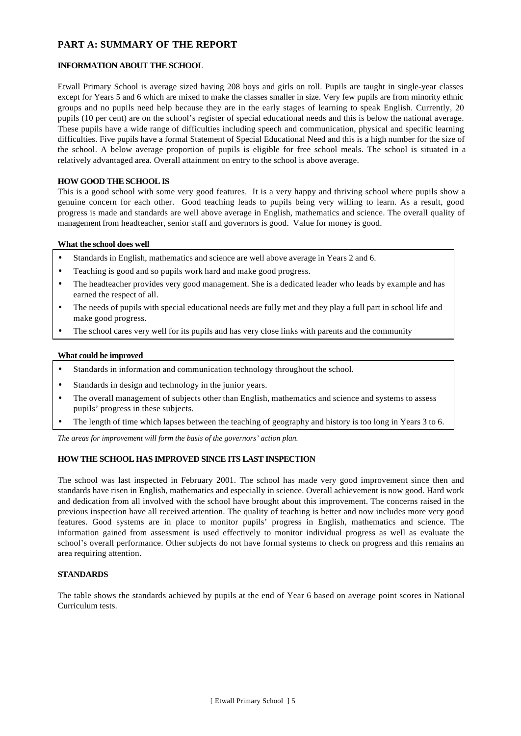## **PART A: SUMMARY OF THE REPORT**

#### **INFORMATION ABOUT THE SCHOOL**

Etwall Primary School is average sized having 208 boys and girls on roll. Pupils are taught in single-year classes except for Years 5 and 6 which are mixed to make the classes smaller in size. Very few pupils are from minority ethnic groups and no pupils need help because they are in the early stages of learning to speak English. Currently, 20 pupils (10 per cent) are on the school's register of special educational needs and this is below the national average. These pupils have a wide range of difficulties including speech and communication, physical and specific learning difficulties. Five pupils have a formal Statement of Special Educational Need and this is a high number for the size of the school. A below average proportion of pupils is eligible for free school meals. The school is situated in a relatively advantaged area. Overall attainment on entry to the school is above average.

#### **HOW GOOD THE SCHOOL IS**

This is a good school with some very good features. It is a very happy and thriving school where pupils show a genuine concern for each other. Good teaching leads to pupils being very willing to learn. As a result, good progress is made and standards are well above average in English, mathematics and science. The overall quality of management from headteacher, senior staff and governors is good. Value for money is good.

#### **What the school does well**

- Standards in English, mathematics and science are well above average in Years 2 and 6.
- Teaching is good and so pupils work hard and make good progress.
- The headteacher provides very good management. She is a dedicated leader who leads by example and has earned the respect of all.
- The needs of pupils with special educational needs are fully met and they play a full part in school life and make good progress.
- The school cares very well for its pupils and has very close links with parents and the community

#### **What could be improved**

- Standards in information and communication technology throughout the school.
- Standards in design and technology in the junior years.
- The overall management of subjects other than English, mathematics and science and systems to assess pupils' progress in these subjects.
- The length of time which lapses between the teaching of geography and history is too long in Years 3 to 6.

*The areas for improvement will form the basis of the governors' action plan.*

#### **HOW THE SCHOOL HAS IMPROVED SINCE ITS LAST INSPECTION**

The school was last inspected in February 2001. The school has made very good improvement since then and standards have risen in English, mathematics and especially in science. Overall achievement is now good. Hard work and dedication from all involved with the school have brought about this improvement. The concerns raised in the previous inspection have all received attention. The quality of teaching is better and now includes more very good features. Good systems are in place to monitor pupils' progress in English, mathematics and science. The information gained from assessment is used effectively to monitor individual progress as well as evaluate the school's overall performance. Other subjects do not have formal systems to check on progress and this remains an area requiring attention.

#### **STANDARDS**

The table shows the standards achieved by pupils at the end of Year 6 based on average point scores in National Curriculum tests.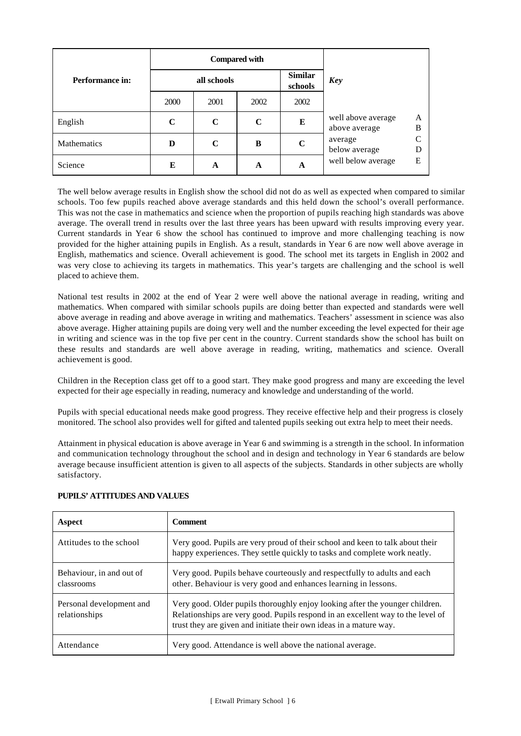|                        | <b>Compared with</b> |             |             |                           |                                     |        |  |
|------------------------|----------------------|-------------|-------------|---------------------------|-------------------------------------|--------|--|
| <b>Performance in:</b> | all schools          |             |             | <b>Similar</b><br>schools | <b>Key</b>                          |        |  |
|                        | 2000                 | 2001        | 2002        | 2002                      |                                     |        |  |
| English                | $\mathbf C$          | $\mathbf C$ | $\mathbf C$ | E                         | well above average<br>above average | A<br>B |  |
| Mathematics            | D                    | $\mathbf C$ | B           | $\mathbf C$               | average<br>below average            |        |  |
| Science                | E                    | A           | A           | A                         | well below average                  | E      |  |

The well below average results in English show the school did not do as well as expected when compared to similar schools. Too few pupils reached above average standards and this held down the school's overall performance. This was not the case in mathematics and science when the proportion of pupils reaching high standards was above average. The overall trend in results over the last three years has been upward with results improving every year. Current standards in Year 6 show the school has continued to improve and more challenging teaching is now provided for the higher attaining pupils in English. As a result, standards in Year 6 are now well above average in English, mathematics and science. Overall achievement is good. The school met its targets in English in 2002 and was very close to achieving its targets in mathematics. This year's targets are challenging and the school is well placed to achieve them.

National test results in 2002 at the end of Year 2 were well above the national average in reading, writing and mathematics. When compared with similar schools pupils are doing better than expected and standards were well above average in reading and above average in writing and mathematics. Teachers' assessment in science was also above average. Higher attaining pupils are doing very well and the number exceeding the level expected for their age in writing and science was in the top five per cent in the country. Current standards show the school has built on these results and standards are well above average in reading, writing, mathematics and science. Overall achievement is good.

Children in the Reception class get off to a good start. They make good progress and many are exceeding the level expected for their age especially in reading, numeracy and knowledge and understanding of the world.

Pupils with special educational needs make good progress. They receive effective help and their progress is closely monitored. The school also provides well for gifted and talented pupils seeking out extra help to meet their needs.

Attainment in physical education is above average in Year 6 and swimming is a strength in the school. In information and communication technology throughout the school and in design and technology in Year 6 standards are below average because insufficient attention is given to all aspects of the subjects. Standards in other subjects are wholly satisfactory.

| Aspect                                    | <b>Comment</b>                                                                                                                                                                                                                        |
|-------------------------------------------|---------------------------------------------------------------------------------------------------------------------------------------------------------------------------------------------------------------------------------------|
| Attitudes to the school                   | Very good. Pupils are very proud of their school and keen to talk about their<br>happy experiences. They settle quickly to tasks and complete work neatly.                                                                            |
| Behaviour, in and out of<br>classrooms    | Very good. Pupils behave courteously and respectfully to adults and each<br>other. Behaviour is very good and enhances learning in lessons.                                                                                           |
| Personal development and<br>relationships | Very good. Older pupils thoroughly enjoy looking after the younger children.<br>Relationships are very good. Pupils respond in an excellent way to the level of<br>trust they are given and initiate their own ideas in a mature way. |
| Attendance                                | Very good. Attendance is well above the national average.                                                                                                                                                                             |

#### **PUPILS' ATTITUDES AND VALUES**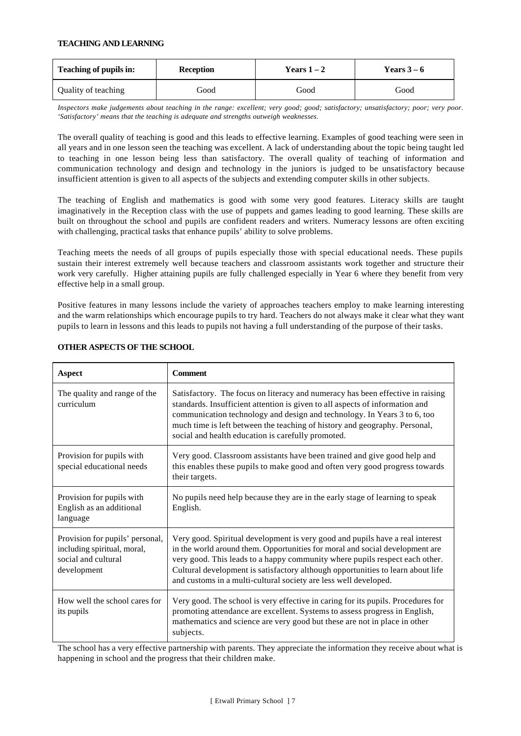#### **TEACHING AND LEARNING**

| Teaching of pupils in: | <b>Reception</b> | Years $1-2$ | Years $3-6$ |  |
|------------------------|------------------|-------------|-------------|--|
| Quality of teaching    | Good             | Good        | Good        |  |

*Inspectors make judgements about teaching in the range: excellent; very good; good; satisfactory; unsatisfactory; poor; very poor. 'Satisfactory' means that the teaching is adequate and strengths outweigh weaknesses.*

The overall quality of teaching is good and this leads to effective learning. Examples of good teaching were seen in all years and in one lesson seen the teaching was excellent. A lack of understanding about the topic being taught led to teaching in one lesson being less than satisfactory. The overall quality of teaching of information and communication technology and design and technology in the juniors is judged to be unsatisfactory because insufficient attention is given to all aspects of the subjects and extending computer skills in other subjects.

The teaching of English and mathematics is good with some very good features. Literacy skills are taught imaginatively in the Reception class with the use of puppets and games leading to good learning. These skills are built on throughout the school and pupils are confident readers and writers. Numeracy lessons are often exciting with challenging, practical tasks that enhance pupils' ability to solve problems.

Teaching meets the needs of all groups of pupils especially those with special educational needs. These pupils sustain their interest extremely well because teachers and classroom assistants work together and structure their work very carefully. Higher attaining pupils are fully challenged especially in Year 6 where they benefit from very effective help in a small group.

Positive features in many lessons include the variety of approaches teachers employ to make learning interesting and the warm relationships which encourage pupils to try hard. Teachers do not always make it clear what they want pupils to learn in lessons and this leads to pupils not having a full understanding of the purpose of their tasks.

| Aspect                                                                                               | <b>Comment</b>                                                                                                                                                                                                                                                                                                                                                                                      |
|------------------------------------------------------------------------------------------------------|-----------------------------------------------------------------------------------------------------------------------------------------------------------------------------------------------------------------------------------------------------------------------------------------------------------------------------------------------------------------------------------------------------|
| The quality and range of the<br>curriculum                                                           | Satisfactory. The focus on literacy and numeracy has been effective in raising<br>standards. Insufficient attention is given to all aspects of information and<br>communication technology and design and technology. In Years 3 to 6, too<br>much time is left between the teaching of history and geography. Personal,<br>social and health education is carefully promoted.                      |
| Provision for pupils with<br>special educational needs                                               | Very good. Classroom assistants have been trained and give good help and<br>this enables these pupils to make good and often very good progress towards<br>their targets.                                                                                                                                                                                                                           |
| Provision for pupils with<br>English as an additional<br>language                                    | No pupils need help because they are in the early stage of learning to speak<br>English.                                                                                                                                                                                                                                                                                                            |
| Provision for pupils' personal,<br>including spiritual, moral,<br>social and cultural<br>development | Very good. Spiritual development is very good and pupils have a real interest<br>in the world around them. Opportunities for moral and social development are<br>very good. This leads to a happy community where pupils respect each other.<br>Cultural development is satisfactory although opportunities to learn about life<br>and customs in a multi-cultural society are less well developed. |
| How well the school cares for<br>its pupils                                                          | Very good. The school is very effective in caring for its pupils. Procedures for<br>promoting attendance are excellent. Systems to assess progress in English,<br>mathematics and science are very good but these are not in place in other<br>subjects.                                                                                                                                            |

#### **OTHER ASPECTS OF THE SCHOOL**

The school has a very effective partnership with parents. They appreciate the information they receive about what is happening in school and the progress that their children make.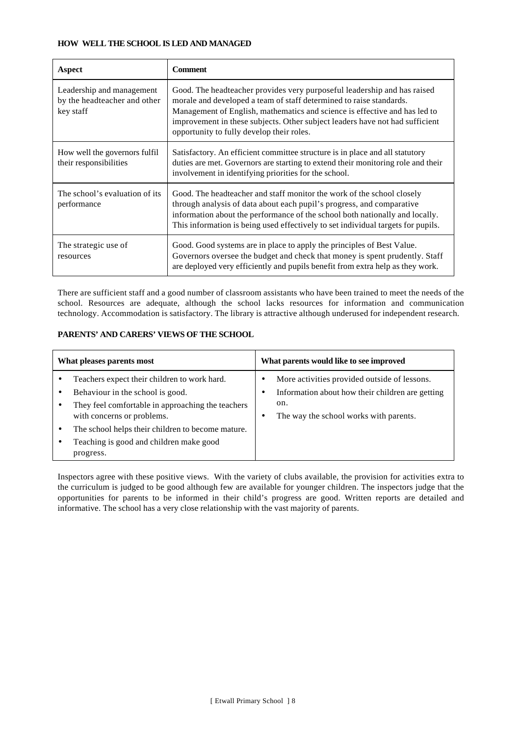#### **HOW WELL THE SCHOOL IS LED AND MANAGED**

| Aspect                                                                 | <b>Comment</b>                                                                                                                                                                                                                                                                                                                                             |
|------------------------------------------------------------------------|------------------------------------------------------------------------------------------------------------------------------------------------------------------------------------------------------------------------------------------------------------------------------------------------------------------------------------------------------------|
| Leadership and management<br>by the headteacher and other<br>key staff | Good. The headteacher provides very purposeful leadership and has raised<br>morale and developed a team of staff determined to raise standards.<br>Management of English, mathematics and science is effective and has led to<br>improvement in these subjects. Other subject leaders have not had sufficient<br>opportunity to fully develop their roles. |
| How well the governors fulfil<br>their responsibilities                | Satisfactory. An efficient committee structure is in place and all statutory<br>duties are met. Governors are starting to extend their monitoring role and their<br>involvement in identifying priorities for the school.                                                                                                                                  |
| The school's evaluation of its<br>performance                          | Good. The headteacher and staff monitor the work of the school closely<br>through analysis of data about each pupil's progress, and comparative<br>information about the performance of the school both nationally and locally.<br>This information is being used effectively to set individual targets for pupils.                                        |
| The strategic use of<br>resources                                      | Good. Good systems are in place to apply the principles of Best Value.<br>Governors oversee the budget and check that money is spent prudently. Staff<br>are deployed very efficiently and pupils benefit from extra help as they work.                                                                                                                    |

There are sufficient staff and a good number of classroom assistants who have been trained to meet the needs of the school. Resources are adequate, although the school lacks resources for information and communication technology. Accommodation is satisfactory. The library is attractive although underused for independent research.

#### **PARENTS' AND CARERS' VIEWS OF THE SCHOOL**

| What pleases parents most |                                                                                                                                                                     | What parents would like to see improved                                                                                                           |  |  |
|---------------------------|---------------------------------------------------------------------------------------------------------------------------------------------------------------------|---------------------------------------------------------------------------------------------------------------------------------------------------|--|--|
|                           | Teachers expect their children to work hard.<br>Behaviour in the school is good.<br>They feel comfortable in approaching the teachers<br>with concerns or problems. | More activities provided outside of lessons.<br>Information about how their children are getting<br>on.<br>The way the school works with parents. |  |  |
|                           | The school helps their children to become mature.<br>Teaching is good and children make good<br>progress.                                                           |                                                                                                                                                   |  |  |

Inspectors agree with these positive views. With the variety of clubs available, the provision for activities extra to the curriculum is judged to be good although few are available for younger children. The inspectors judge that the opportunities for parents to be informed in their child's progress are good. Written reports are detailed and informative. The school has a very close relationship with the vast majority of parents.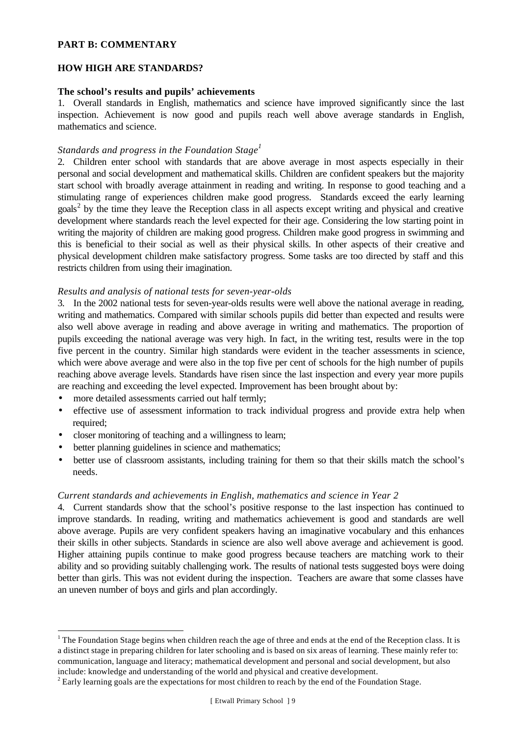### **PART B: COMMENTARY**

### **HOW HIGH ARE STANDARDS?**

#### **The school's results and pupils' achievements**

1. Overall standards in English, mathematics and science have improved significantly since the last inspection. Achievement is now good and pupils reach well above average standards in English, mathematics and science.

## *Standards and progress in the Foundation Stage<sup>1</sup>*

2. Children enter school with standards that are above average in most aspects especially in their personal and social development and mathematical skills. Children are confident speakers but the majority start school with broadly average attainment in reading and writing. In response to good teaching and a stimulating range of experiences children make good progress. Standards exceed the early learning goals<sup>2</sup> by the time they leave the Reception class in all aspects except writing and physical and creative development where standards reach the level expected for their age. Considering the low starting point in writing the majority of children are making good progress. Children make good progress in swimming and this is beneficial to their social as well as their physical skills. In other aspects of their creative and physical development children make satisfactory progress. Some tasks are too directed by staff and this restricts children from using their imagination.

#### *Results and analysis of national tests for seven-year-olds*

3. In the 2002 national tests for seven-year-olds results were well above the national average in reading, writing and mathematics. Compared with similar schools pupils did better than expected and results were also well above average in reading and above average in writing and mathematics. The proportion of pupils exceeding the national average was very high. In fact, in the writing test, results were in the top five percent in the country. Similar high standards were evident in the teacher assessments in science, which were above average and were also in the top five per cent of schools for the high number of pupils reaching above average levels. Standards have risen since the last inspection and every year more pupils are reaching and exceeding the level expected. Improvement has been brought about by:

- more detailed assessments carried out half termly;
- effective use of assessment information to track individual progress and provide extra help when required;
- closer monitoring of teaching and a willingness to learn;
- better planning guidelines in science and mathematics;

l

better use of classroom assistants, including training for them so that their skills match the school's needs.

#### *Current standards and achievements in English, mathematics and science in Year 2*

4. Current standards show that the school's positive response to the last inspection has continued to improve standards. In reading, writing and mathematics achievement is good and standards are well above average. Pupils are very confident speakers having an imaginative vocabulary and this enhances their skills in other subjects. Standards in science are also well above average and achievement is good. Higher attaining pupils continue to make good progress because teachers are matching work to their ability and so providing suitably challenging work. The results of national tests suggested boys were doing better than girls. This was not evident during the inspection. Teachers are aware that some classes have an uneven number of boys and girls and plan accordingly.

<sup>&</sup>lt;sup>1</sup> The Foundation Stage begins when children reach the age of three and ends at the end of the Reception class. It is a distinct stage in preparing children for later schooling and is based on six areas of learning. These mainly refer to: communication, language and literacy; mathematical development and personal and social development, but also include: knowledge and understanding of the world and physical and creative development.

 $2^{2}$  Early learning goals are the expectations for most children to reach by the end of the Foundation Stage.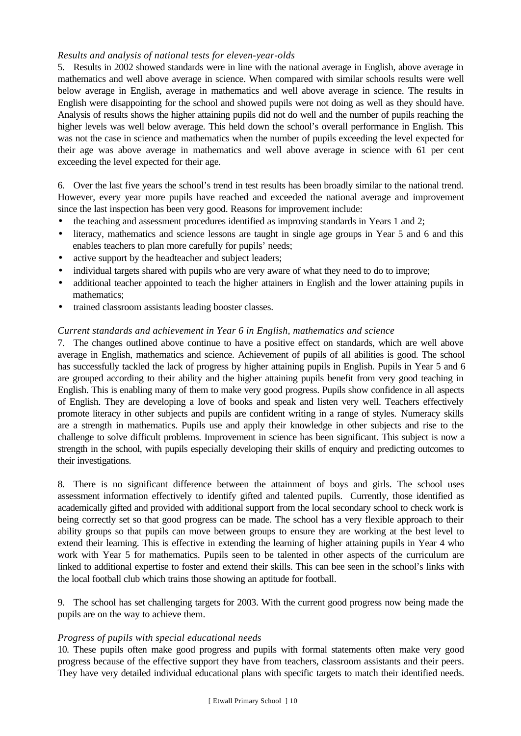## *Results and analysis of national tests for eleven-year-olds*

5. Results in 2002 showed standards were in line with the national average in English, above average in mathematics and well above average in science. When compared with similar schools results were well below average in English, average in mathematics and well above average in science. The results in English were disappointing for the school and showed pupils were not doing as well as they should have. Analysis of results shows the higher attaining pupils did not do well and the number of pupils reaching the higher levels was well below average. This held down the school's overall performance in English. This was not the case in science and mathematics when the number of pupils exceeding the level expected for their age was above average in mathematics and well above average in science with 61 per cent exceeding the level expected for their age.

6. Over the last five years the school's trend in test results has been broadly similar to the national trend. However, every year more pupils have reached and exceeded the national average and improvement since the last inspection has been very good. Reasons for improvement include:

- the teaching and assessment procedures identified as improving standards in Years 1 and 2;
- literacy, mathematics and science lessons are taught in single age groups in Year 5 and 6 and this enables teachers to plan more carefully for pupils' needs;
- active support by the headteacher and subject leaders;
- individual targets shared with pupils who are very aware of what they need to do to improve;
- additional teacher appointed to teach the higher attainers in English and the lower attaining pupils in mathematics:
- trained classroom assistants leading booster classes.

## *Current standards and achievement in Year 6 in English, mathematics and science*

7. The changes outlined above continue to have a positive effect on standards, which are well above average in English, mathematics and science. Achievement of pupils of all abilities is good. The school has successfully tackled the lack of progress by higher attaining pupils in English. Pupils in Year 5 and 6 are grouped according to their ability and the higher attaining pupils benefit from very good teaching in English. This is enabling many of them to make very good progress. Pupils show confidence in all aspects of English. They are developing a love of books and speak and listen very well. Teachers effectively promote literacy in other subjects and pupils are confident writing in a range of styles. Numeracy skills are a strength in mathematics. Pupils use and apply their knowledge in other subjects and rise to the challenge to solve difficult problems. Improvement in science has been significant. This subject is now a strength in the school, with pupils especially developing their skills of enquiry and predicting outcomes to their investigations.

8. There is no significant difference between the attainment of boys and girls. The school uses assessment information effectively to identify gifted and talented pupils. Currently, those identified as academically gifted and provided with additional support from the local secondary school to check work is being correctly set so that good progress can be made. The school has a very flexible approach to their ability groups so that pupils can move between groups to ensure they are working at the best level to extend their learning. This is effective in extending the learning of higher attaining pupils in Year 4 who work with Year 5 for mathematics. Pupils seen to be talented in other aspects of the curriculum are linked to additional expertise to foster and extend their skills. This can bee seen in the school's links with the local football club which trains those showing an aptitude for football.

9. The school has set challenging targets for 2003. With the current good progress now being made the pupils are on the way to achieve them.

## *Progress of pupils with special educational needs*

10. These pupils often make good progress and pupils with formal statements often make very good progress because of the effective support they have from teachers, classroom assistants and their peers. They have very detailed individual educational plans with specific targets to match their identified needs.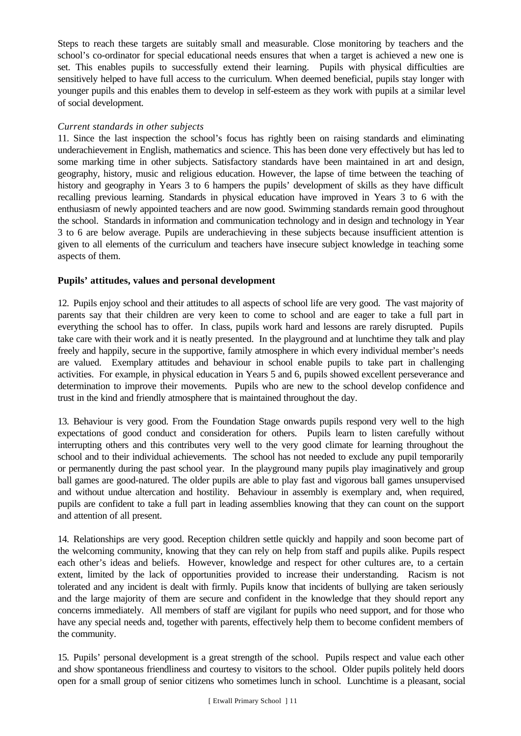Steps to reach these targets are suitably small and measurable. Close monitoring by teachers and the school's co-ordinator for special educational needs ensures that when a target is achieved a new one is set. This enables pupils to successfully extend their learning. Pupils with physical difficulties are sensitively helped to have full access to the curriculum. When deemed beneficial, pupils stay longer with younger pupils and this enables them to develop in self-esteem as they work with pupils at a similar level of social development.

## *Current standards in other subjects*

11. Since the last inspection the school's focus has rightly been on raising standards and eliminating underachievement in English, mathematics and science. This has been done very effectively but has led to some marking time in other subjects. Satisfactory standards have been maintained in art and design, geography, history, music and religious education. However, the lapse of time between the teaching of history and geography in Years 3 to 6 hampers the pupils' development of skills as they have difficult recalling previous learning. Standards in physical education have improved in Years 3 to 6 with the enthusiasm of newly appointed teachers and are now good. Swimming standards remain good throughout the school. Standards in information and communication technology and in design and technology in Year 3 to 6 are below average. Pupils are underachieving in these subjects because insufficient attention is given to all elements of the curriculum and teachers have insecure subject knowledge in teaching some aspects of them.

## **Pupils' attitudes, values and personal development**

12. Pupils enjoy school and their attitudes to all aspects of school life are very good. The vast majority of parents say that their children are very keen to come to school and are eager to take a full part in everything the school has to offer. In class, pupils work hard and lessons are rarely disrupted. Pupils take care with their work and it is neatly presented. In the playground and at lunchtime they talk and play freely and happily, secure in the supportive, family atmosphere in which every individual member's needs are valued. Exemplary attitudes and behaviour in school enable pupils to take part in challenging activities. For example, in physical education in Years 5 and 6, pupils showed excellent perseverance and determination to improve their movements. Pupils who are new to the school develop confidence and trust in the kind and friendly atmosphere that is maintained throughout the day.

13. Behaviour is very good. From the Foundation Stage onwards pupils respond very well to the high expectations of good conduct and consideration for others. Pupils learn to listen carefully without interrupting others and this contributes very well to the very good climate for learning throughout the school and to their individual achievements. The school has not needed to exclude any pupil temporarily or permanently during the past school year. In the playground many pupils play imaginatively and group ball games are good-natured. The older pupils are able to play fast and vigorous ball games unsupervised and without undue altercation and hostility. Behaviour in assembly is exemplary and, when required, pupils are confident to take a full part in leading assemblies knowing that they can count on the support and attention of all present.

14. Relationships are very good. Reception children settle quickly and happily and soon become part of the welcoming community, knowing that they can rely on help from staff and pupils alike. Pupils respect each other's ideas and beliefs. However, knowledge and respect for other cultures are, to a certain extent, limited by the lack of opportunities provided to increase their understanding. Racism is not tolerated and any incident is dealt with firmly. Pupils know that incidents of bullying are taken seriously and the large majority of them are secure and confident in the knowledge that they should report any concerns immediately. All members of staff are vigilant for pupils who need support, and for those who have any special needs and, together with parents, effectively help them to become confident members of the community.

15. Pupils' personal development is a great strength of the school. Pupils respect and value each other and show spontaneous friendliness and courtesy to visitors to the school. Older pupils politely held doors open for a small group of senior citizens who sometimes lunch in school. Lunchtime is a pleasant, social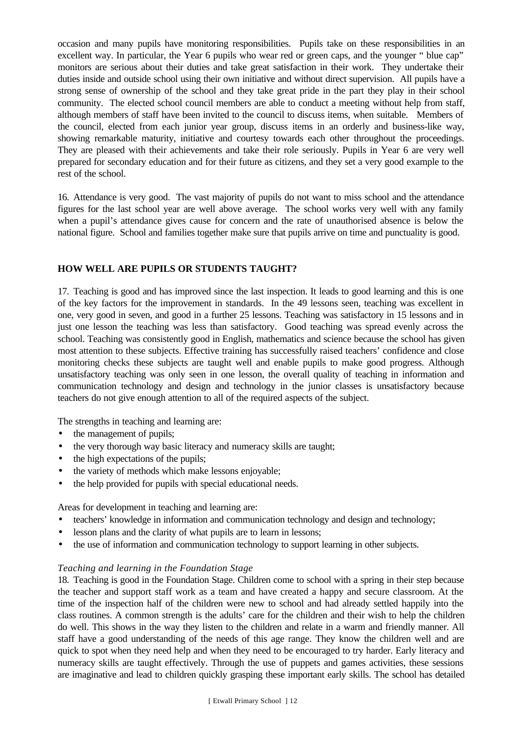occasion and many pupils have monitoring responsibilities. Pupils take on these responsibilities in an excellent way. In particular, the Year 6 pupils who wear red or green caps, and the younger " blue cap" monitors are serious about their duties and take great satisfaction in their work. They undertake their duties inside and outside school using their own initiative and without direct supervision. All pupils have a strong sense of ownership of the school and they take great pride in the part they play in their school community. The elected school council members are able to conduct a meeting without help from staff, although members of staff have been invited to the council to discuss items, when suitable. Members of the council, elected from each junior year group, discuss items in an orderly and business-like way, showing remarkable maturity, initiative and courtesy towards each other throughout the proceedings. They are pleased with their achievements and take their role seriously. Pupils in Year 6 are very well prepared for secondary education and for their future as citizens, and they set a very good example to the rest of the school.

16. Attendance is very good. The vast majority of pupils do not want to miss school and the attendance figures for the last school year are well above average. The school works very well with any family when a pupil's attendance gives cause for concern and the rate of unauthorised absence is below the national figure. School and families together make sure that pupils arrive on time and punctuality is good.

## **HOW WELL ARE PUPILS OR STUDENTS TAUGHT?**

17. Teaching is good and has improved since the last inspection. It leads to good learning and this is one of the key factors for the improvement in standards. In the 49 lessons seen, teaching was excellent in one, very good in seven, and good in a further 25 lessons. Teaching was satisfactory in 15 lessons and in just one lesson the teaching was less than satisfactory. Good teaching was spread evenly across the school. Teaching was consistently good in English, mathematics and science because the school has given most attention to these subjects. Effective training has successfully raised teachers' confidence and close monitoring checks these subjects are taught well and enable pupils to make good progress. Although unsatisfactory teaching was only seen in one lesson, the overall quality of teaching in information and communication technology and design and technology in the junior classes is unsatisfactory because teachers do not give enough attention to all of the required aspects of the subject.

The strengths in teaching and learning are:

- the management of pupils;
- the very thorough way basic literacy and numeracy skills are taught;
- the high expectations of the pupils;
- the variety of methods which make lessons enjoyable;
- the help provided for pupils with special educational needs.

Areas for development in teaching and learning are:

- teachers' knowledge in information and communication technology and design and technology;
- lesson plans and the clarity of what pupils are to learn in lessons;
- the use of information and communication technology to support learning in other subjects.

#### *Teaching and learning in the Foundation Stage*

18. Teaching is good in the Foundation Stage. Children come to school with a spring in their step because the teacher and support staff work as a team and have created a happy and secure classroom. At the time of the inspection half of the children were new to school and had already settled happily into the class routines. A common strength is the adults' care for the children and their wish to help the children do well. This shows in the way they listen to the children and relate in a warm and friendly manner. All staff have a good understanding of the needs of this age range. They know the children well and are quick to spot when they need help and when they need to be encouraged to try harder. Early literacy and numeracy skills are taught effectively. Through the use of puppets and games activities, these sessions are imaginative and lead to children quickly grasping these important early skills. The school has detailed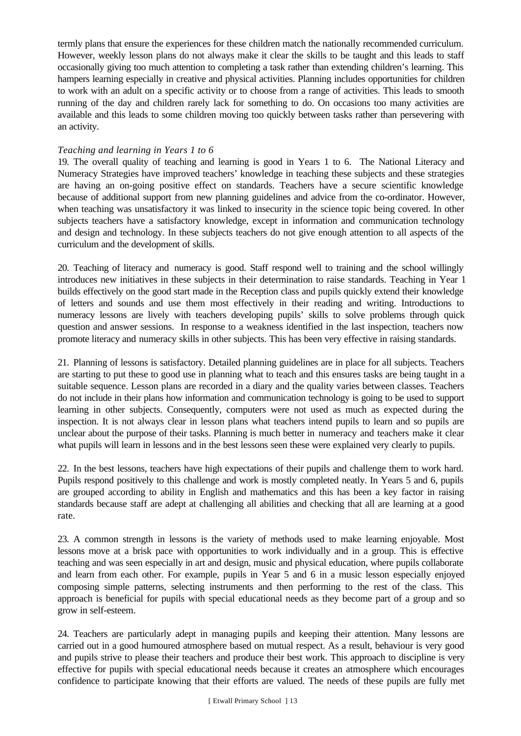termly plans that ensure the experiences for these children match the nationally recommended curriculum. However, weekly lesson plans do not always make it clear the skills to be taught and this leads to staff occasionally giving too much attention to completing a task rather than extending children's learning. This hampers learning especially in creative and physical activities. Planning includes opportunities for children to work with an adult on a specific activity or to choose from a range of activities. This leads to smooth running of the day and children rarely lack for something to do. On occasions too many activities are available and this leads to some children moving too quickly between tasks rather than persevering with an activity.

## *Teaching and learning in Years 1 to 6*

19. The overall quality of teaching and learning is good in Years 1 to 6. The National Literacy and Numeracy Strategies have improved teachers' knowledge in teaching these subjects and these strategies are having an on-going positive effect on standards. Teachers have a secure scientific knowledge because of additional support from new planning guidelines and advice from the co-ordinator. However, when teaching was unsatisfactory it was linked to insecurity in the science topic being covered. In other subjects teachers have a satisfactory knowledge, except in information and communication technology and design and technology. In these subjects teachers do not give enough attention to all aspects of the curriculum and the development of skills.

20. Teaching of literacy and numeracy is good. Staff respond well to training and the school willingly introduces new initiatives in these subjects in their determination to raise standards. Teaching in Year 1 builds effectively on the good start made in the Reception class and pupils quickly extend their knowledge of letters and sounds and use them most effectively in their reading and writing. Introductions to numeracy lessons are lively with teachers developing pupils' skills to solve problems through quick question and answer sessions. In response to a weakness identified in the last inspection, teachers now promote literacy and numeracy skills in other subjects. This has been very effective in raising standards.

21. Planning of lessons is satisfactory. Detailed planning guidelines are in place for all subjects. Teachers are starting to put these to good use in planning what to teach and this ensures tasks are being taught in a suitable sequence. Lesson plans are recorded in a diary and the quality varies between classes. Teachers do not include in their plans how information and communication technology is going to be used to support learning in other subjects. Consequently, computers were not used as much as expected during the inspection. It is not always clear in lesson plans what teachers intend pupils to learn and so pupils are unclear about the purpose of their tasks. Planning is much better in numeracy and teachers make it clear what pupils will learn in lessons and in the best lessons seen these were explained very clearly to pupils.

22. In the best lessons, teachers have high expectations of their pupils and challenge them to work hard. Pupils respond positively to this challenge and work is mostly completed neatly. In Years 5 and 6, pupils are grouped according to ability in English and mathematics and this has been a key factor in raising standards because staff are adept at challenging all abilities and checking that all are learning at a good rate.

23. A common strength in lessons is the variety of methods used to make learning enjoyable. Most lessons move at a brisk pace with opportunities to work individually and in a group. This is effective teaching and was seen especially in art and design, music and physical education, where pupils collaborate and learn from each other. For example, pupils in Year 5 and 6 in a music lesson especially enjoyed composing simple patterns, selecting instruments and then performing to the rest of the class. This approach is beneficial for pupils with special educational needs as they become part of a group and so grow in self-esteem.

24. Teachers are particularly adept in managing pupils and keeping their attention. Many lessons are carried out in a good humoured atmosphere based on mutual respect. As a result, behaviour is very good and pupils strive to please their teachers and produce their best work. This approach to discipline is very effective for pupils with special educational needs because it creates an atmosphere which encourages confidence to participate knowing that their efforts are valued. The needs of these pupils are fully met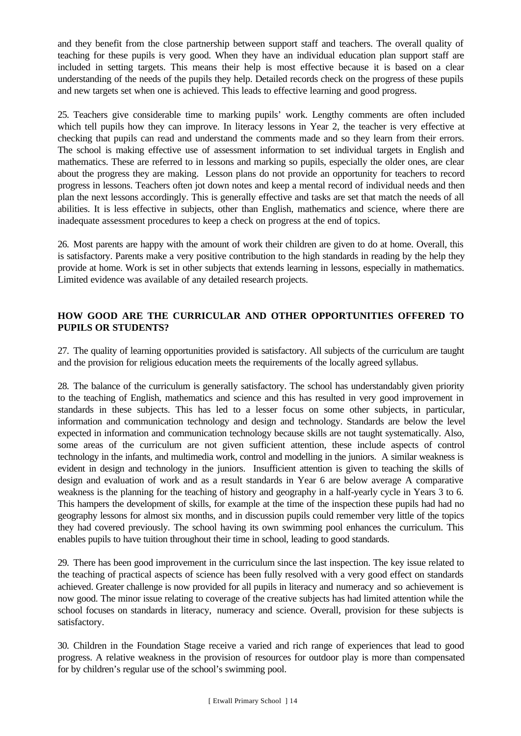and they benefit from the close partnership between support staff and teachers. The overall quality of teaching for these pupils is very good. When they have an individual education plan support staff are included in setting targets. This means their help is most effective because it is based on a clear understanding of the needs of the pupils they help. Detailed records check on the progress of these pupils and new targets set when one is achieved. This leads to effective learning and good progress.

25. Teachers give considerable time to marking pupils' work. Lengthy comments are often included which tell pupils how they can improve. In literacy lessons in Year 2, the teacher is very effective at checking that pupils can read and understand the comments made and so they learn from their errors. The school is making effective use of assessment information to set individual targets in English and mathematics. These are referred to in lessons and marking so pupils, especially the older ones, are clear about the progress they are making. Lesson plans do not provide an opportunity for teachers to record progress in lessons. Teachers often jot down notes and keep a mental record of individual needs and then plan the next lessons accordingly. This is generally effective and tasks are set that match the needs of all abilities. It is less effective in subjects, other than English, mathematics and science, where there are inadequate assessment procedures to keep a check on progress at the end of topics.

26. Most parents are happy with the amount of work their children are given to do at home. Overall, this is satisfactory. Parents make a very positive contribution to the high standards in reading by the help they provide at home. Work is set in other subjects that extends learning in lessons, especially in mathematics. Limited evidence was available of any detailed research projects.

## **HOW GOOD ARE THE CURRICULAR AND OTHER OPPORTUNITIES OFFERED TO PUPILS OR STUDENTS?**

27. The quality of learning opportunities provided is satisfactory. All subjects of the curriculum are taught and the provision for religious education meets the requirements of the locally agreed syllabus.

28. The balance of the curriculum is generally satisfactory. The school has understandably given priority to the teaching of English, mathematics and science and this has resulted in very good improvement in standards in these subjects. This has led to a lesser focus on some other subjects, in particular, information and communication technology and design and technology. Standards are below the level expected in information and communication technology because skills are not taught systematically. Also, some areas of the curriculum are not given sufficient attention, these include aspects of control technology in the infants, and multimedia work, control and modelling in the juniors. A similar weakness is evident in design and technology in the juniors. Insufficient attention is given to teaching the skills of design and evaluation of work and as a result standards in Year 6 are below average A comparative weakness is the planning for the teaching of history and geography in a half-yearly cycle in Years 3 to 6. This hampers the development of skills, for example at the time of the inspection these pupils had had no geography lessons for almost six months, and in discussion pupils could remember very little of the topics they had covered previously. The school having its own swimming pool enhances the curriculum. This enables pupils to have tuition throughout their time in school, leading to good standards.

29. There has been good improvement in the curriculum since the last inspection. The key issue related to the teaching of practical aspects of science has been fully resolved with a very good effect on standards achieved. Greater challenge is now provided for all pupils in literacy and numeracy and so achievement is now good. The minor issue relating to coverage of the creative subjects has had limited attention while the school focuses on standards in literacy, numeracy and science. Overall, provision for these subjects is satisfactory.

30. Children in the Foundation Stage receive a varied and rich range of experiences that lead to good progress. A relative weakness in the provision of resources for outdoor play is more than compensated for by children's regular use of the school's swimming pool.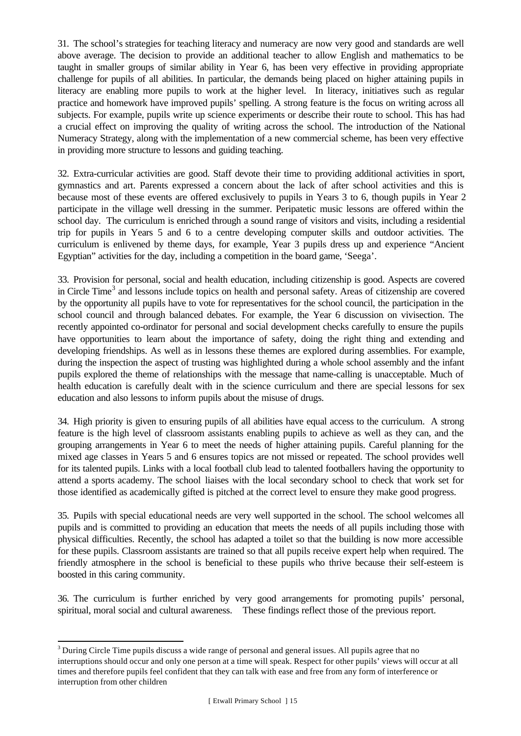31. The school's strategies for teaching literacy and numeracy are now very good and standards are well above average. The decision to provide an additional teacher to allow English and mathematics to be taught in smaller groups of similar ability in Year 6, has been very effective in providing appropriate challenge for pupils of all abilities. In particular, the demands being placed on higher attaining pupils in literacy are enabling more pupils to work at the higher level. In literacy, initiatives such as regular practice and homework have improved pupils' spelling. A strong feature is the focus on writing across all subjects. For example, pupils write up science experiments or describe their route to school. This has had a crucial effect on improving the quality of writing across the school. The introduction of the National Numeracy Strategy, along with the implementation of a new commercial scheme, has been very effective in providing more structure to lessons and guiding teaching.

32. Extra-curricular activities are good. Staff devote their time to providing additional activities in sport, gymnastics and art. Parents expressed a concern about the lack of after school activities and this is because most of these events are offered exclusively to pupils in Years 3 to 6, though pupils in Year 2 participate in the village well dressing in the summer. Peripatetic music lessons are offered within the school day. The curriculum is enriched through a sound range of visitors and visits, including a residential trip for pupils in Years 5 and 6 to a centre developing computer skills and outdoor activities. The curriculum is enlivened by theme days, for example, Year 3 pupils dress up and experience "Ancient Egyptian" activities for the day, including a competition in the board game, 'Seega'.

33. Provision for personal, social and health education, including citizenship is good. Aspects are covered in Circle Time<sup>3</sup> and lessons include topics on health and personal safety. Areas of citizenship are covered by the opportunity all pupils have to vote for representatives for the school council, the participation in the school council and through balanced debates. For example, the Year 6 discussion on vivisection. The recently appointed co-ordinator for personal and social development checks carefully to ensure the pupils have opportunities to learn about the importance of safety, doing the right thing and extending and developing friendships. As well as in lessons these themes are explored during assemblies. For example, during the inspection the aspect of trusting was highlighted during a whole school assembly and the infant pupils explored the theme of relationships with the message that name-calling is unacceptable. Much of health education is carefully dealt with in the science curriculum and there are special lessons for sex education and also lessons to inform pupils about the misuse of drugs.

34. High priority is given to ensuring pupils of all abilities have equal access to the curriculum. A strong feature is the high level of classroom assistants enabling pupils to achieve as well as they can, and the grouping arrangements in Year 6 to meet the needs of higher attaining pupils. Careful planning for the mixed age classes in Years 5 and 6 ensures topics are not missed or repeated. The school provides well for its talented pupils. Links with a local football club lead to talented footballers having the opportunity to attend a sports academy. The school liaises with the local secondary school to check that work set for those identified as academically gifted is pitched at the correct level to ensure they make good progress.

35. Pupils with special educational needs are very well supported in the school. The school welcomes all pupils and is committed to providing an education that meets the needs of all pupils including those with physical difficulties. Recently, the school has adapted a toilet so that the building is now more accessible for these pupils. Classroom assistants are trained so that all pupils receive expert help when required. The friendly atmosphere in the school is beneficial to these pupils who thrive because their self-esteem is boosted in this caring community.

36. The curriculum is further enriched by very good arrangements for promoting pupils' personal, spiritual, moral social and cultural awareness. These findings reflect those of the previous report.

l

 $3$  During Circle Time pupils discuss a wide range of personal and general issues. All pupils agree that no interruptions should occur and only one person at a time will speak. Respect for other pupils' views will occur at all times and therefore pupils feel confident that they can talk with ease and free from any form of interference or interruption from other children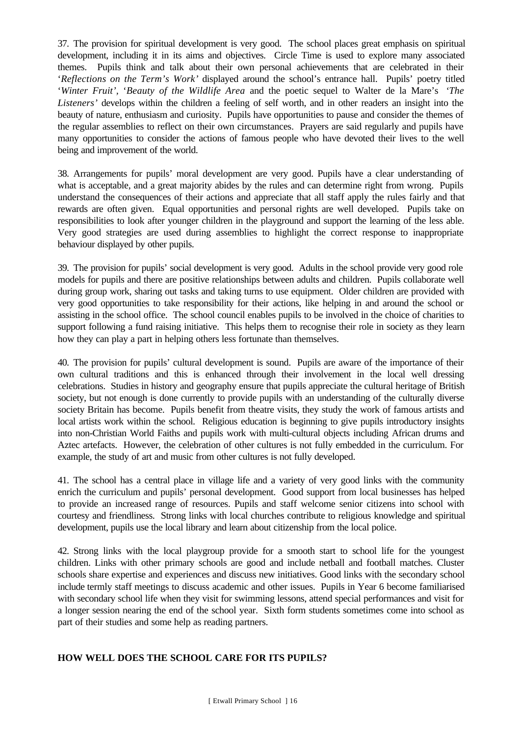37. The provision for spiritual development is very good. The school places great emphasis on spiritual development, including it in its aims and objectives. Circle Time is used to explore many associated themes. Pupils think and talk about their own personal achievements that are celebrated in their '*Reflections on the Term's Work'* displayed around the school's entrance hall. Pupils' poetry titled '*Winter Fruit',* '*Beauty of the Wildlife Area* and the poetic sequel to Walter de la Mare's *'The Listeners'* develops within the children a feeling of self worth, and in other readers an insight into the beauty of nature, enthusiasm and curiosity. Pupils have opportunities to pause and consider the themes of the regular assemblies to reflect on their own circumstances. Prayers are said regularly and pupils have many opportunities to consider the actions of famous people who have devoted their lives to the well being and improvement of the world.

38. Arrangements for pupils' moral development are very good. Pupils have a clear understanding of what is acceptable, and a great majority abides by the rules and can determine right from wrong. Pupils understand the consequences of their actions and appreciate that all staff apply the rules fairly and that rewards are often given. Equal opportunities and personal rights are well developed. Pupils take on responsibilities to look after younger children in the playground and support the learning of the less able. Very good strategies are used during assemblies to highlight the correct response to inappropriate behaviour displayed by other pupils.

39. The provision for pupils' social development is very good. Adults in the school provide very good role models for pupils and there are positive relationships between adults and children. Pupils collaborate well during group work, sharing out tasks and taking turns to use equipment. Older children are provided with very good opportunities to take responsibility for their actions, like helping in and around the school or assisting in the school office. The school council enables pupils to be involved in the choice of charities to support following a fund raising initiative. This helps them to recognise their role in society as they learn how they can play a part in helping others less fortunate than themselves.

40. The provision for pupils' cultural development is sound. Pupils are aware of the importance of their own cultural traditions and this is enhanced through their involvement in the local well dressing celebrations. Studies in history and geography ensure that pupils appreciate the cultural heritage of British society, but not enough is done currently to provide pupils with an understanding of the culturally diverse society Britain has become. Pupils benefit from theatre visits, they study the work of famous artists and local artists work within the school. Religious education is beginning to give pupils introductory insights into non-Christian World Faiths and pupils work with multi-cultural objects including African drums and Aztec artefacts. However, the celebration of other cultures is not fully embedded in the curriculum. For example, the study of art and music from other cultures is not fully developed.

41. The school has a central place in village life and a variety of very good links with the community enrich the curriculum and pupils' personal development. Good support from local businesses has helped to provide an increased range of resources. Pupils and staff welcome senior citizens into school with courtesy and friendliness. Strong links with local churches contribute to religious knowledge and spiritual development, pupils use the local library and learn about citizenship from the local police.

42. Strong links with the local playgroup provide for a smooth start to school life for the youngest children. Links with other primary schools are good and include netball and football matches. Cluster schools share expertise and experiences and discuss new initiatives. Good links with the secondary school include termly staff meetings to discuss academic and other issues. Pupils in Year 6 become familiarised with secondary school life when they visit for swimming lessons, attend special performances and visit for a longer session nearing the end of the school year. Sixth form students sometimes come into school as part of their studies and some help as reading partners.

## **HOW WELL DOES THE SCHOOL CARE FOR ITS PUPILS?**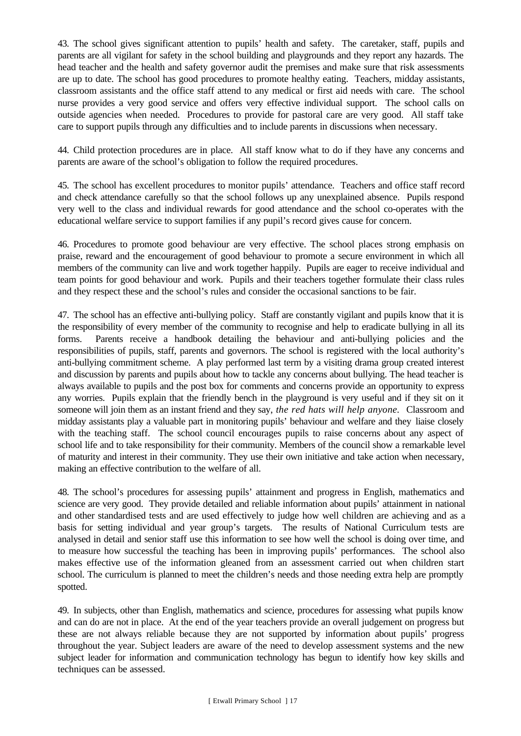43. The school gives significant attention to pupils' health and safety. The caretaker, staff, pupils and parents are all vigilant for safety in the school building and playgrounds and they report any hazards. The head teacher and the health and safety governor audit the premises and make sure that risk assessments are up to date. The school has good procedures to promote healthy eating. Teachers, midday assistants, classroom assistants and the office staff attend to any medical or first aid needs with care. The school nurse provides a very good service and offers very effective individual support. The school calls on outside agencies when needed. Procedures to provide for pastoral care are very good. All staff take care to support pupils through any difficulties and to include parents in discussions when necessary.

44. Child protection procedures are in place. All staff know what to do if they have any concerns and parents are aware of the school's obligation to follow the required procedures.

45. The school has excellent procedures to monitor pupils' attendance. Teachers and office staff record and check attendance carefully so that the school follows up any unexplained absence. Pupils respond very well to the class and individual rewards for good attendance and the school co-operates with the educational welfare service to support families if any pupil's record gives cause for concern.

46. Procedures to promote good behaviour are very effective. The school places strong emphasis on praise, reward and the encouragement of good behaviour to promote a secure environment in which all members of the community can live and work together happily. Pupils are eager to receive individual and team points for good behaviour and work. Pupils and their teachers together formulate their class rules and they respect these and the school's rules and consider the occasional sanctions to be fair.

47. The school has an effective anti-bullying policy. Staff are constantly vigilant and pupils know that it is the responsibility of every member of the community to recognise and help to eradicate bullying in all its forms. Parents receive a handbook detailing the behaviour and anti-bullying policies and the responsibilities of pupils, staff, parents and governors. The school is registered with the local authority's anti-bullying commitment scheme. A play performed last term by a visiting drama group created interest and discussion by parents and pupils about how to tackle any concerns about bullying. The head teacher is always available to pupils and the post box for comments and concerns provide an opportunity to express any worries. Pupils explain that the friendly bench in the playground is very useful and if they sit on it someone will join them as an instant friend and they say, *the red hats will help anyone.* Classroom and midday assistants play a valuable part in monitoring pupils' behaviour and welfare and they liaise closely with the teaching staff. The school council encourages pupils to raise concerns about any aspect of school life and to take responsibility for their community. Members of the council show a remarkable level of maturity and interest in their community. They use their own initiative and take action when necessary, making an effective contribution to the welfare of all.

48. The school's procedures for assessing pupils' attainment and progress in English, mathematics and science are very good. They provide detailed and reliable information about pupils' attainment in national and other standardised tests and are used effectively to judge how well children are achieving and as a basis for setting individual and year group's targets. The results of National Curriculum tests are analysed in detail and senior staff use this information to see how well the school is doing over time, and to measure how successful the teaching has been in improving pupils' performances. The school also makes effective use of the information gleaned from an assessment carried out when children start school. The curriculum is planned to meet the children's needs and those needing extra help are promptly spotted.

49. In subjects, other than English, mathematics and science, procedures for assessing what pupils know and can do are not in place. At the end of the year teachers provide an overall judgement on progress but these are not always reliable because they are not supported by information about pupils' progress throughout the year. Subject leaders are aware of the need to develop assessment systems and the new subject leader for information and communication technology has begun to identify how key skills and techniques can be assessed.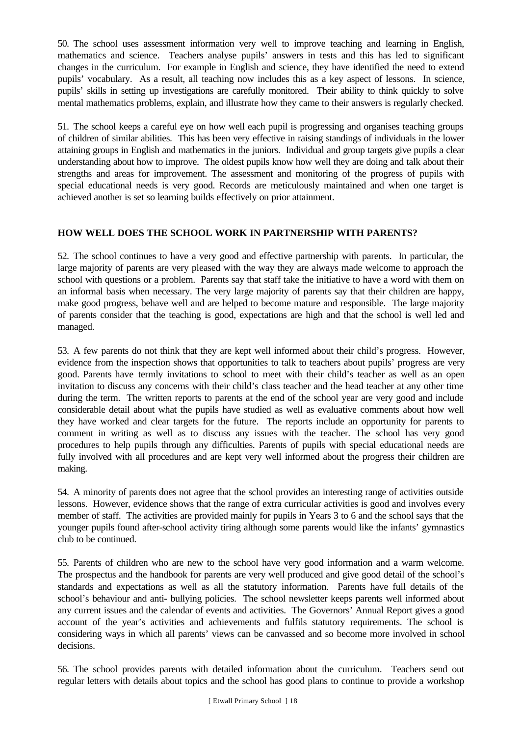50. The school uses assessment information very well to improve teaching and learning in English, mathematics and science. Teachers analyse pupils' answers in tests and this has led to significant changes in the curriculum. For example in English and science, they have identified the need to extend pupils' vocabulary. As a result, all teaching now includes this as a key aspect of lessons. In science, pupils' skills in setting up investigations are carefully monitored. Their ability to think quickly to solve mental mathematics problems, explain, and illustrate how they came to their answers is regularly checked.

51. The school keeps a careful eye on how well each pupil is progressing and organises teaching groups of children of similar abilities. This has been very effective in raising standings of individuals in the lower attaining groups in English and mathematics in the juniors. Individual and group targets give pupils a clear understanding about how to improve. The oldest pupils know how well they are doing and talk about their strengths and areas for improvement. The assessment and monitoring of the progress of pupils with special educational needs is very good. Records are meticulously maintained and when one target is achieved another is set so learning builds effectively on prior attainment.

## **HOW WELL DOES THE SCHOOL WORK IN PARTNERSHIP WITH PARENTS?**

52. The school continues to have a very good and effective partnership with parents. In particular, the large majority of parents are very pleased with the way they are always made welcome to approach the school with questions or a problem. Parents say that staff take the initiative to have a word with them on an informal basis when necessary. The very large majority of parents say that their children are happy, make good progress, behave well and are helped to become mature and responsible. The large majority of parents consider that the teaching is good, expectations are high and that the school is well led and managed.

53. A few parents do not think that they are kept well informed about their child's progress. However, evidence from the inspection shows that opportunities to talk to teachers about pupils' progress are very good. Parents have termly invitations to school to meet with their child's teacher as well as an open invitation to discuss any concerns with their child's class teacher and the head teacher at any other time during the term. The written reports to parents at the end of the school year are very good and include considerable detail about what the pupils have studied as well as evaluative comments about how well they have worked and clear targets for the future. The reports include an opportunity for parents to comment in writing as well as to discuss any issues with the teacher. The school has very good procedures to help pupils through any difficulties. Parents of pupils with special educational needs are fully involved with all procedures and are kept very well informed about the progress their children are making.

54. A minority of parents does not agree that the school provides an interesting range of activities outside lessons. However, evidence shows that the range of extra curricular activities is good and involves every member of staff. The activities are provided mainly for pupils in Years 3 to 6 and the school says that the younger pupils found after-school activity tiring although some parents would like the infants' gymnastics club to be continued.

55. Parents of children who are new to the school have very good information and a warm welcome. The prospectus and the handbook for parents are very well produced and give good detail of the school's standards and expectations as well as all the statutory information. Parents have full details of the school's behaviour and anti- bullying policies. The school newsletter keeps parents well informed about any current issues and the calendar of events and activities. The Governors' Annual Report gives a good account of the year's activities and achievements and fulfils statutory requirements. The school is considering ways in which all parents' views can be canvassed and so become more involved in school decisions.

56. The school provides parents with detailed information about the curriculum. Teachers send out regular letters with details about topics and the school has good plans to continue to provide a workshop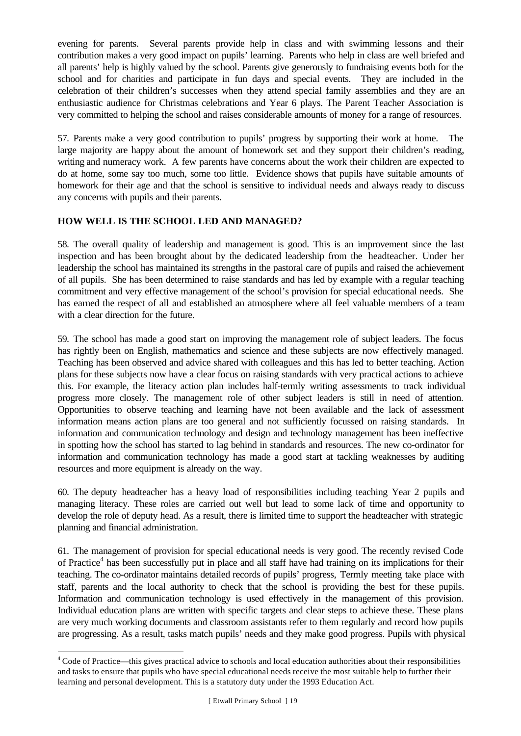evening for parents. Several parents provide help in class and with swimming lessons and their contribution makes a very good impact on pupils' learning. Parents who help in class are well briefed and all parents' help is highly valued by the school. Parents give generously to fundraising events both for the school and for charities and participate in fun days and special events. They are included in the celebration of their children's successes when they attend special family assemblies and they are an enthusiastic audience for Christmas celebrations and Year 6 plays. The Parent Teacher Association is very committed to helping the school and raises considerable amounts of money for a range of resources.

57. Parents make a very good contribution to pupils' progress by supporting their work at home. The large majority are happy about the amount of homework set and they support their children's reading, writing and numeracy work. A few parents have concerns about the work their children are expected to do at home, some say too much, some too little. Evidence shows that pupils have suitable amounts of homework for their age and that the school is sensitive to individual needs and always ready to discuss any concerns with pupils and their parents.

## **HOW WELL IS THE SCHOOL LED AND MANAGED?**

58. The overall quality of leadership and management is good. This is an improvement since the last inspection and has been brought about by the dedicated leadership from the headteacher. Under her leadership the school has maintained its strengths in the pastoral care of pupils and raised the achievement of all pupils. She has been determined to raise standards and has led by example with a regular teaching commitment and very effective management of the school's provision for special educational needs. She has earned the respect of all and established an atmosphere where all feel valuable members of a team with a clear direction for the future.

59. The school has made a good start on improving the management role of subject leaders. The focus has rightly been on English, mathematics and science and these subjects are now effectively managed. Teaching has been observed and advice shared with colleagues and this has led to better teaching. Action plans for these subjects now have a clear focus on raising standards with very practical actions to achieve this. For example, the literacy action plan includes half-termly writing assessments to track individual progress more closely. The management role of other subject leaders is still in need of attention. Opportunities to observe teaching and learning have not been available and the lack of assessment information means action plans are too general and not sufficiently focussed on raising standards. In information and communication technology and design and technology management has been ineffective in spotting how the school has started to lag behind in standards and resources. The new co-ordinator for information and communication technology has made a good start at tackling weaknesses by auditing resources and more equipment is already on the way.

60. The deputy headteacher has a heavy load of responsibilities including teaching Year 2 pupils and managing literacy. These roles are carried out well but lead to some lack of time and opportunity to develop the role of deputy head. As a result, there is limited time to support the headteacher with strategic planning and financial administration.

61. The management of provision for special educational needs is very good. The recently revised Code of Practice<sup>4</sup> has been successfully put in place and all staff have had training on its implications for their teaching. The co-ordinator maintains detailed records of pupils' progress, Termly meeting take place with staff, parents and the local authority to check that the school is providing the best for these pupils. Information and communication technology is used effectively in the management of this provision. Individual education plans are written with specific targets and clear steps to achieve these. These plans are very much working documents and classroom assistants refer to them regularly and record how pupils are progressing. As a result, tasks match pupils' needs and they make good progress. Pupils with physical

l

<sup>&</sup>lt;sup>4</sup> Code of Practice—this gives practical advice to schools and local education authorities about their responsibilities and tasks to ensure that pupils who have special educational needs receive the most suitable help to further their learning and personal development. This is a statutory duty under the 1993 Education Act.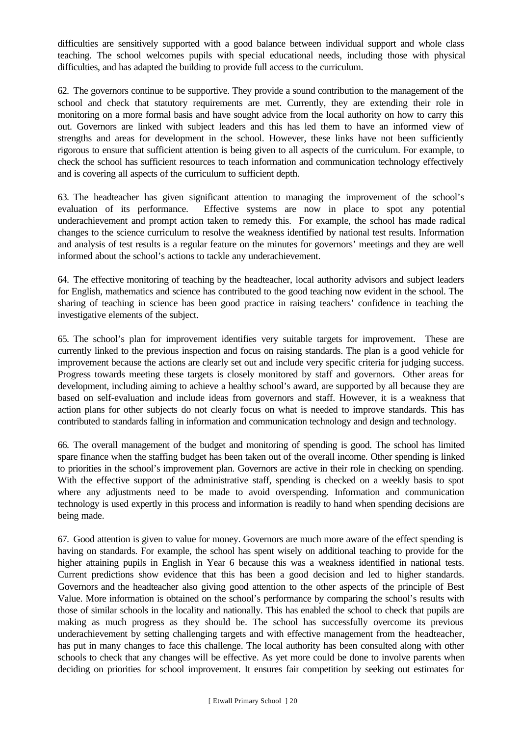difficulties are sensitively supported with a good balance between individual support and whole class teaching. The school welcomes pupils with special educational needs, including those with physical difficulties, and has adapted the building to provide full access to the curriculum.

62. The governors continue to be supportive. They provide a sound contribution to the management of the school and check that statutory requirements are met. Currently, they are extending their role in monitoring on a more formal basis and have sought advice from the local authority on how to carry this out. Governors are linked with subject leaders and this has led them to have an informed view of strengths and areas for development in the school. However, these links have not been sufficiently rigorous to ensure that sufficient attention is being given to all aspects of the curriculum. For example, to check the school has sufficient resources to teach information and communication technology effectively and is covering all aspects of the curriculum to sufficient depth.

63. The headteacher has given significant attention to managing the improvement of the school's evaluation of its performance. Effective systems are now in place to spot any potential underachievement and prompt action taken to remedy this. For example, the school has made radical changes to the science curriculum to resolve the weakness identified by national test results. Information and analysis of test results is a regular feature on the minutes for governors' meetings and they are well informed about the school's actions to tackle any underachievement.

64. The effective monitoring of teaching by the headteacher, local authority advisors and subject leaders for English, mathematics and science has contributed to the good teaching now evident in the school. The sharing of teaching in science has been good practice in raising teachers' confidence in teaching the investigative elements of the subject.

65. The school's plan for improvement identifies very suitable targets for improvement. These are currently linked to the previous inspection and focus on raising standards. The plan is a good vehicle for improvement because the actions are clearly set out and include very specific criteria for judging success. Progress towards meeting these targets is closely monitored by staff and governors. Other areas for development, including aiming to achieve a healthy school's award, are supported by all because they are based on self-evaluation and include ideas from governors and staff. However, it is a weakness that action plans for other subjects do not clearly focus on what is needed to improve standards. This has contributed to standards falling in information and communication technology and design and technology.

66. The overall management of the budget and monitoring of spending is good. The school has limited spare finance when the staffing budget has been taken out of the overall income. Other spending is linked to priorities in the school's improvement plan. Governors are active in their role in checking on spending. With the effective support of the administrative staff, spending is checked on a weekly basis to spot where any adjustments need to be made to avoid overspending. Information and communication technology is used expertly in this process and information is readily to hand when spending decisions are being made.

67. Good attention is given to value for money. Governors are much more aware of the effect spending is having on standards. For example, the school has spent wisely on additional teaching to provide for the higher attaining pupils in English in Year 6 because this was a weakness identified in national tests. Current predictions show evidence that this has been a good decision and led to higher standards. Governors and the headteacher also giving good attention to the other aspects of the principle of Best Value. More information is obtained on the school's performance by comparing the school's results with those of similar schools in the locality and nationally. This has enabled the school to check that pupils are making as much progress as they should be. The school has successfully overcome its previous underachievement by setting challenging targets and with effective management from the headteacher, has put in many changes to face this challenge. The local authority has been consulted along with other schools to check that any changes will be effective. As yet more could be done to involve parents when deciding on priorities for school improvement. It ensures fair competition by seeking out estimates for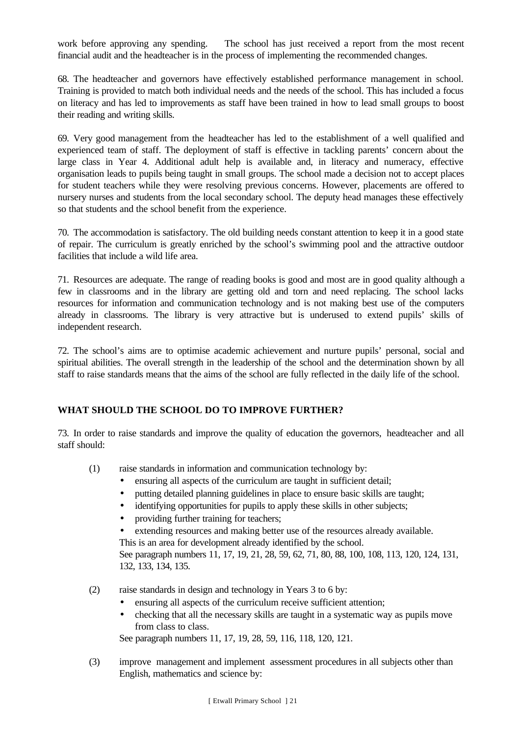work before approving any spending. The school has just received a report from the most recent financial audit and the headteacher is in the process of implementing the recommended changes.

68. The headteacher and governors have effectively established performance management in school. Training is provided to match both individual needs and the needs of the school. This has included a focus on literacy and has led to improvements as staff have been trained in how to lead small groups to boost their reading and writing skills.

69. Very good management from the headteacher has led to the establishment of a well qualified and experienced team of staff. The deployment of staff is effective in tackling parents' concern about the large class in Year 4. Additional adult help is available and, in literacy and numeracy, effective organisation leads to pupils being taught in small groups. The school made a decision not to accept places for student teachers while they were resolving previous concerns. However, placements are offered to nursery nurses and students from the local secondary school. The deputy head manages these effectively so that students and the school benefit from the experience.

70. The accommodation is satisfactory. The old building needs constant attention to keep it in a good state of repair. The curriculum is greatly enriched by the school's swimming pool and the attractive outdoor facilities that include a wild life area.

71. Resources are adequate. The range of reading books is good and most are in good quality although a few in classrooms and in the library are getting old and torn and need replacing. The school lacks resources for information and communication technology and is not making best use of the computers already in classrooms. The library is very attractive but is underused to extend pupils' skills of independent research.

72. The school's aims are to optimise academic achievement and nurture pupils' personal, social and spiritual abilities. The overall strength in the leadership of the school and the determination shown by all staff to raise standards means that the aims of the school are fully reflected in the daily life of the school.

## **WHAT SHOULD THE SCHOOL DO TO IMPROVE FURTHER?**

73. In order to raise standards and improve the quality of education the governors, headteacher and all staff should:

- (1) raise standards in information and communication technology by:
	- ensuring all aspects of the curriculum are taught in sufficient detail;
	- putting detailed planning guidelines in place to ensure basic skills are taught;
	- identifying opportunities for pupils to apply these skills in other subjects;
	- providing further training for teachers;
	- extending resources and making better use of the resources already available.
	- This is an area for development already identified by the school.

See paragraph numbers 11, 17, 19, 21, 28, 59, 62, 71, 80, 88, 100, 108, 113, 120, 124, 131, 132, 133, 134, 135.

- (2) raise standards in design and technology in Years 3 to 6 by:
	- ensuring all aspects of the curriculum receive sufficient attention;
	- checking that all the necessary skills are taught in a systematic way as pupils move from class to class.

See paragraph numbers 11, 17, 19, 28, 59, 116, 118, 120, 121.

(3) improve management and implement assessment procedures in all subjects other than English, mathematics and science by: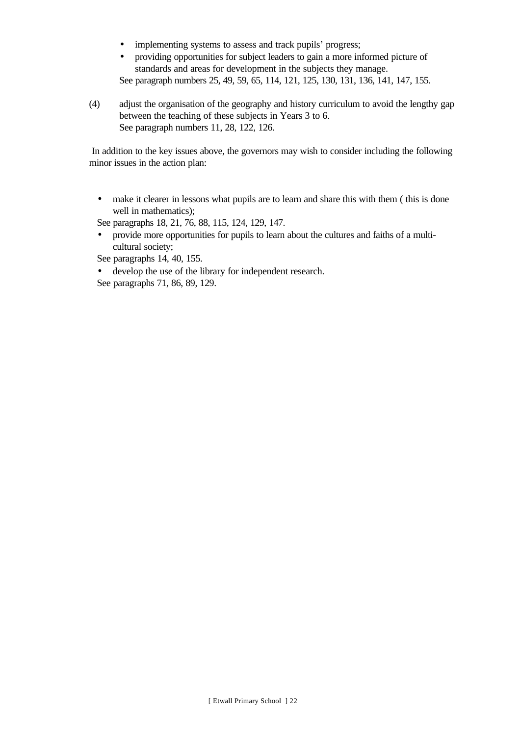- implementing systems to assess and track pupils' progress;
- providing opportunities for subject leaders to gain a more informed picture of standards and areas for development in the subjects they manage. See paragraph numbers 25, 49, 59, 65, 114, 121, 125, 130, 131, 136, 141, 147, 155.
- (4) adjust the organisation of the geography and history curriculum to avoid the lengthy gap between the teaching of these subjects in Years 3 to 6. See paragraph numbers 11, 28, 122, 126.

 In addition to the key issues above, the governors may wish to consider including the following minor issues in the action plan:

• make it clearer in lessons what pupils are to learn and share this with them (this is done well in mathematics);

See paragraphs 18, 21, 76, 88, 115, 124, 129, 147.

• provide more opportunities for pupils to learn about the cultures and faiths of a multicultural society;

See paragraphs 14, 40, 155.

• develop the use of the library for independent research.

See paragraphs 71, 86, 89, 129.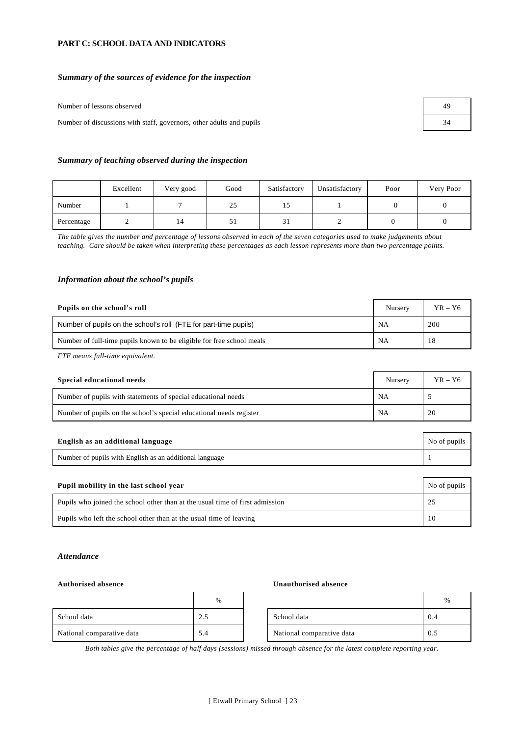#### **PART C: SCHOOL DATA AND INDICATORS**

#### *Summary of the sources of evidence for the inspection*

Number of lessons observed

Number of discussions with staff, governors, other adults and pupils

| 49 |  |
|----|--|
| 34 |  |

#### *Summary of teaching observed during the inspection*

|            | Excellent | Very good | Good | Satisfactory | Unsatisfactory | Poor | Very Poor |
|------------|-----------|-----------|------|--------------|----------------|------|-----------|
| Number     |           |           | 25   | ⊥⊃           |                |      |           |
| Percentage |           | 14        | 51   | ີ່<br>31     |                |      |           |

*The table gives the number and percentage of lessons observed in each of the seven categories used to make judgements about teaching. Care should be taken when interpreting these percentages as each lesson represents more than two percentage points.*

#### *Information about the school's pupils*

| Pupils on the school's roll                                           | Nursery   | $YR - Y6$ |
|-----------------------------------------------------------------------|-----------|-----------|
| Number of pupils on the school's roll (FTE for part-time pupils)      | <b>NA</b> | 200       |
| Number of full-time pupils known to be eligible for free school meals | NA        |           |

*FTE means full-time equivalent.*

| Special educational needs                                           | Nursery   | $YR - Y6$ |
|---------------------------------------------------------------------|-----------|-----------|
| Number of pupils with statements of special educational needs       | <b>NA</b> |           |
| Number of pupils on the school's special educational needs register | <b>NA</b> | 20        |

| English as an additional language                       | No of pupils |
|---------------------------------------------------------|--------------|
| Number of pupils with English as an additional language |              |

| Pupil mobility in the last school year                                       | No of pupils |
|------------------------------------------------------------------------------|--------------|
| Pupils who joined the school other than at the usual time of first admission |              |
| Pupils who left the school other than at the usual time of leaving           | 10           |

#### *Attendance*

#### **Authorised absence Unauthorised absence**

|                           | %        |                           | %   |
|---------------------------|----------|---------------------------|-----|
| School data               | ◠<br>ت ک | School data               | 0.4 |
| National comparative data | 5.4      | National comparative data | 0.5 |

*Both tables give the percentage of half days (sessions) missed through absence for the latest complete reporting year.*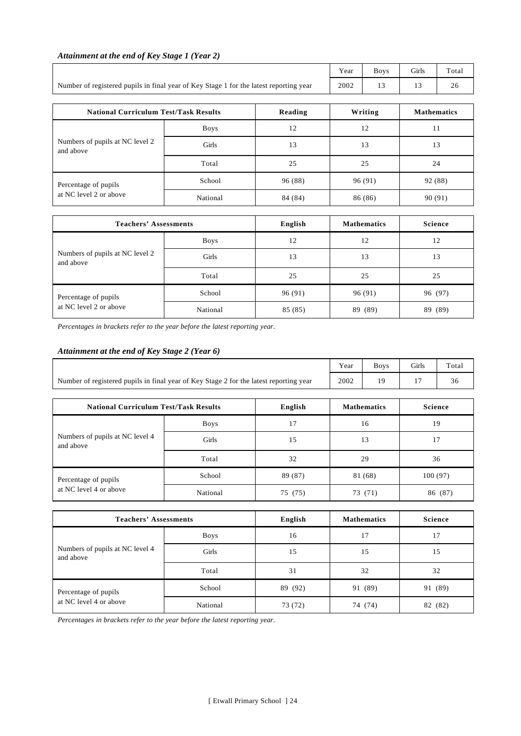|                                                                                        |             |         | Year | <b>Boys</b>        | Girls              | Total   |
|----------------------------------------------------------------------------------------|-------------|---------|------|--------------------|--------------------|---------|
| Number of registered pupils in final year of Key Stage 1 for the latest reporting year |             | 2002    | 13   | 13                 | 26                 |         |
| <b>National Curriculum Test/Task Results</b>                                           |             | Reading |      | Writing            | <b>Mathematics</b> |         |
|                                                                                        | <b>Boys</b> | 12      |      | 12                 | 11                 |         |
| Numbers of pupils at NC level 2<br>and above                                           | Girls       | 13      |      | 13                 | 13                 |         |
|                                                                                        | Total       | 25      |      | 25<br>24           |                    |         |
| Percentage of pupils                                                                   | School      | 96 (88) |      | 96 (91)            | 92 (88)            |         |
| at NC level 2 or above                                                                 | National    | 84 (84) |      | 86 (86)<br>90 (91) |                    |         |
| <b>Teachers' Assessments</b>                                                           |             | English |      | <b>Mathematics</b> | <b>Science</b>     |         |
|                                                                                        | <b>Boys</b> | 12      |      | 12                 | 12                 |         |
| Numbers of pupils at NC level 2<br>and above                                           | Girls       | 13      |      | 13                 | 13                 |         |
|                                                                                        | Total       | 25      |      | 25                 | 25                 |         |
| Percentage of pupils                                                                   | School      | 96 (91) |      | 96 (91)            |                    | 96 (97) |
| at NC level 2 or above                                                                 | National    | 85 (85) |      | 89 (89)            |                    | 89 (89) |

#### *Attainment at the end of Key Stage 1 (Year 2)*

 $\overline{\mathsf{I}}$ 

*Percentages in brackets refer to the year before the latest reporting year.*

## *Attainment at the end of Key Stage 2 (Year 6)*

|                                                                                        | Year | <b>Boys</b> | Girls | Total |
|----------------------------------------------------------------------------------------|------|-------------|-------|-------|
| Number of registered pupils in final year of Key Stage 2 for the latest reporting year | 2002 | 19          |       | 36    |
|                                                                                        |      |             |       |       |
|                                                                                        |      |             |       |       |

| <b>National Curriculum Test/Task Results</b>   |             | English | <b>Mathematics</b> | <b>Science</b> |
|------------------------------------------------|-------------|---------|--------------------|----------------|
|                                                | <b>Boys</b> | 17      | 16                 | 19             |
| Numbers of pupils at NC level 4<br>and above   | Girls       | 15      | 13                 |                |
|                                                | Total       | 32      | 29                 | 36             |
| Percentage of pupils<br>at NC level 4 or above | School      | 89 (87) | 81 (68)            | 100(97)        |
|                                                | National    | 75 (75) | 73 (71)            | 86 (87)        |

| <b>Teachers' Assessments</b>                   |             | English | <b>Mathematics</b> | <b>Science</b> |
|------------------------------------------------|-------------|---------|--------------------|----------------|
|                                                | <b>Boys</b> | 16      | 17                 | 17             |
| Numbers of pupils at NC level 4<br>and above   | Girls       | 15      | 15                 | 15             |
|                                                | Total       | 31      | 32                 | 32             |
| Percentage of pupils<br>at NC level 4 or above | School      | 89 (92) | 91 (89)            | 91 (89)        |
|                                                | National    | 73 (72) | 74 (74)            | (82)<br>82     |

*Percentages in brackets refer to the year before the latest reporting year.*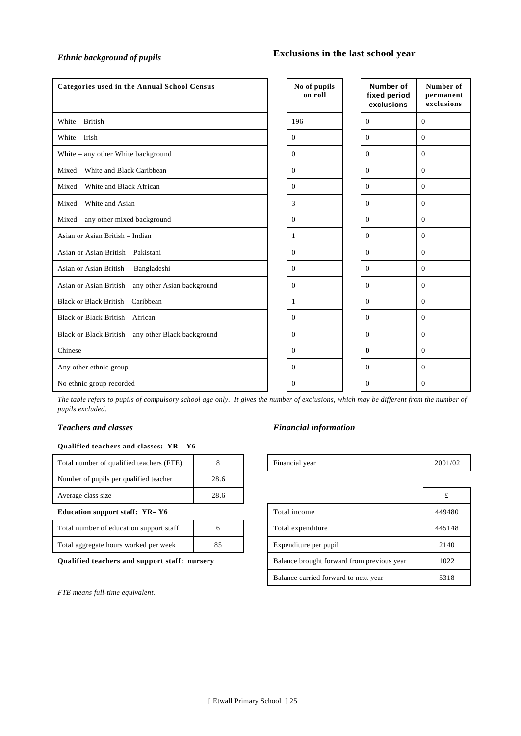## *Ethnic background of pupils* **Exclusions in the last school year**

| <b>Categories used in the Annual School Census</b>  | No of pupils<br>on roll | <b>Number of</b><br>fixed period<br>exclusions | Number of<br>permanent<br>exclusions |
|-----------------------------------------------------|-------------------------|------------------------------------------------|--------------------------------------|
| White - British                                     | 196                     | $\Omega$                                       | $\mathbf{0}$                         |
| White $-$ Irish                                     | $\overline{0}$          | $\Omega$                                       | $\mathbf{0}$                         |
| White - any other White background                  | $\mathbf{0}$            | $\Omega$                                       | $\mathbf{0}$                         |
| Mixed – White and Black Caribbean                   | $\overline{0}$          | $\Omega$                                       | $\mathbf{0}$                         |
| Mixed - White and Black African                     | $\overline{0}$          | $\Omega$                                       | $\overline{0}$                       |
| Mixed – White and Asian                             | 3                       | $\Omega$                                       | $\overline{0}$                       |
| Mixed - any other mixed background                  | $\Omega$                | $\Omega$                                       | $\Omega$                             |
| Asian or Asian British - Indian                     | $\mathbf{1}$            | $\Omega$                                       | $\overline{0}$                       |
| Asian or Asian British - Pakistani                  | $\overline{0}$          | $\Omega$                                       | $\overline{0}$                       |
| Asian or Asian British - Bangladeshi                | $\overline{0}$          | $\theta$                                       | $\overline{0}$                       |
| Asian or Asian British - any other Asian background | $\overline{0}$          | $\Omega$                                       | $\overline{0}$                       |
| Black or Black British - Caribbean                  | 1                       | $\Omega$                                       | $\theta$                             |
| Black or Black British - African                    | $\Omega$                | $\Omega$                                       | $\theta$                             |
| Black or Black British - any other Black background | $\Omega$                | $\Omega$                                       | $\Omega$                             |
| Chinese                                             | $\Omega$                | 0                                              | $\overline{0}$                       |
| Any other ethnic group                              | $\Omega$                | $\Omega$                                       | $\theta$                             |
| No ethnic group recorded                            | $\Omega$                | $\Omega$                                       | $\Omega$                             |

*The table refers to pupils of compulsory school age only. It gives the number of exclusions, which may be different from the number of pupils excluded.*

#### **Qualified teachers and classes: YR – Y6**

| Total number of qualified teachers (FTE) |      | Financial year | 2001 |
|------------------------------------------|------|----------------|------|
| Number of pupils per qualified teacher   | 28.6 |                |      |
| Average class size                       | 28.6 |                |      |

### **Education support staff: YR-Y6**

| Total number of education support staff |    |
|-----------------------------------------|----|
| Total aggregate hours worked per week   | 85 |

*FTE means full-time equivalent.*

#### *Teachers and classes Financial information*

| Total number of qualified teachers (FTE)      | 8    | Financial year                             | 2001/02 |
|-----------------------------------------------|------|--------------------------------------------|---------|
| Number of pupils per qualified teacher        | 28.6 |                                            |         |
| Average class size                            | 28.6 |                                            |         |
| Education support staff: YR-Y6                |      | Total income                               | 449480  |
| Total number of education support staff       | 6    | Total expenditure                          | 445148  |
| Total aggregate hours worked per week         | 85   | Expenditure per pupil                      | 2140    |
| Qualified teachers and support staff: nursery |      | Balance brought forward from previous year | 1022    |
|                                               |      | Balance carried forward to next year       | 5318    |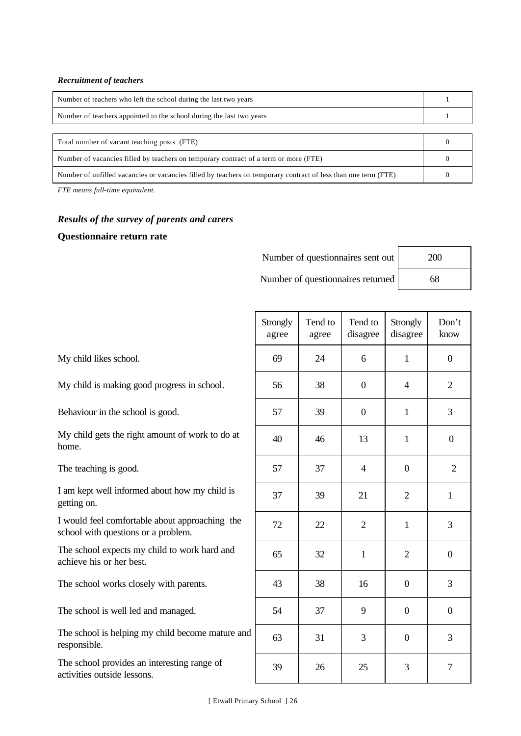#### *Recruitment of teachers*

| Number of teachers who left the school during the last two years     |  |  |
|----------------------------------------------------------------------|--|--|
| Number of teachers appointed to the school during the last two years |  |  |
|                                                                      |  |  |
| Total number of vacant teaching posts (FTE)                          |  |  |

| Number of vacancies filled by teachers on temporary contract of a term or more (FTE)                           |  |
|----------------------------------------------------------------------------------------------------------------|--|
| Number of unfilled vacancies or vacancies filled by teachers on temporary contract of less than one term (FTE) |  |

*FTE means full-time equivalent.*

## *Results of the survey of parents and carers*

#### **Questionnaire return rate**

| Number of questionnaires sent out | 200 |
|-----------------------------------|-----|
| Number of questionnaires returned | 68  |

My child likes school.

My child is making good progress in school.

Behaviour in the school is good.

My child gets the right amount of work to do at home.

The teaching is good.

I am kept well informed about how my child is getting on.

I would feel comfortable about approaching the school with questions or a problem.

The school expects my child to work hard and achieve his or her best.

The school works closely with parents.

The school is well led and managed.

The school is helping my child become mature and responsible.

The school provides an interesting range of activities outside lessons.

| Strongly<br>agree | Tend to<br>agree | Tend to<br>disagree | Strongly<br>disagree | Don't<br>know    |
|-------------------|------------------|---------------------|----------------------|------------------|
| 69                | 24               | 6                   | $\,1$                | $\overline{0}$   |
| 56                | 38               | $\boldsymbol{0}$    | $\overline{4}$       | $\mathbf{2}$     |
| 57                | 39               | $\boldsymbol{0}$    | $\mathbf{1}$         | 3                |
| 40                | 46               | 13                  | $\mathbf{1}$         | $\boldsymbol{0}$ |
| 57                | 37               | $\overline{4}$      | $\boldsymbol{0}$     | $\overline{2}$   |
| 37                | 39               | 21                  | $\mathbf{2}$         | $\mathbf{1}$     |
| $72\,$            | $22\,$           | $\overline{2}$      | $\mathbf{1}$         | 3                |
| 65                | 32               | $\mathbf 1$         | $\overline{c}$       | $\overline{0}$   |
| 43                | 38               | 16                  | $\overline{0}$       | 3                |
| 54                | 37               | 9                   | $\boldsymbol{0}$     | $\boldsymbol{0}$ |
| 63                | 31               | 3                   | $\boldsymbol{0}$     | 3                |
| 39                | $26\,$           | 25                  | 3                    | $\sqrt{ }$       |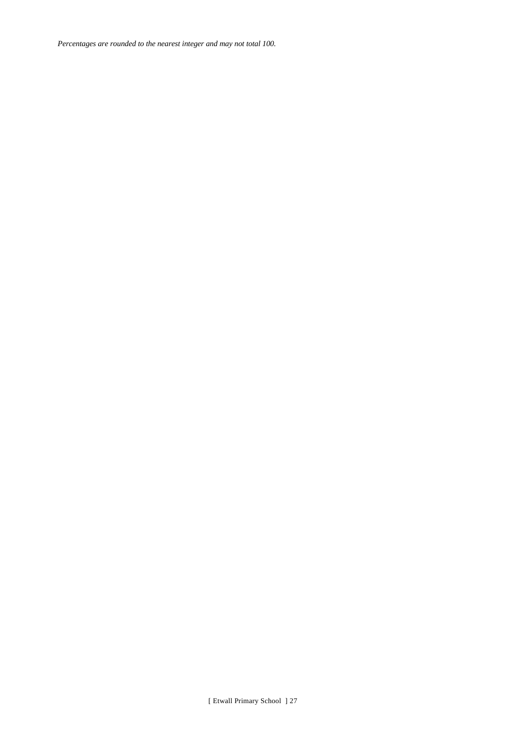*Percentages are rounded to the nearest integer and may not total 100.*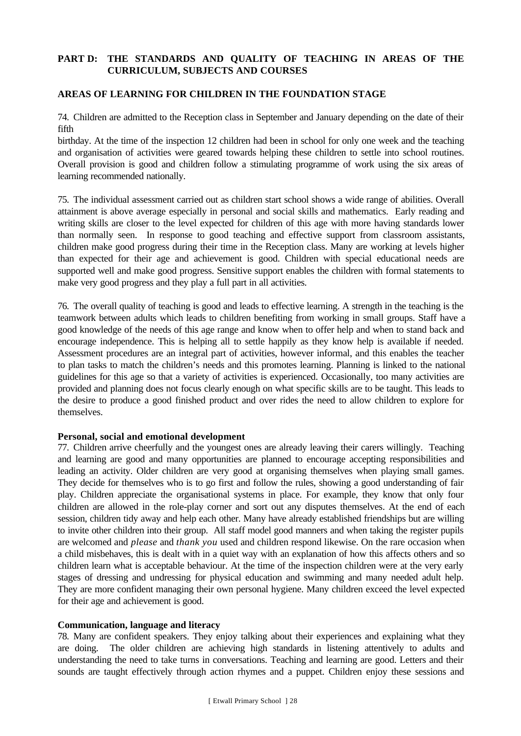## **PART D: THE STANDARDS AND QUALITY OF TEACHING IN AREAS OF THE CURRICULUM, SUBJECTS AND COURSES**

### **AREAS OF LEARNING FOR CHILDREN IN THE FOUNDATION STAGE**

74. Children are admitted to the Reception class in September and January depending on the date of their fifth

birthday. At the time of the inspection 12 children had been in school for only one week and the teaching and organisation of activities were geared towards helping these children to settle into school routines. Overall provision is good and children follow a stimulating programme of work using the six areas of learning recommended nationally.

75. The individual assessment carried out as children start school shows a wide range of abilities. Overall attainment is above average especially in personal and social skills and mathematics. Early reading and writing skills are closer to the level expected for children of this age with more having standards lower than normally seen. In response to good teaching and effective support from classroom assistants, children make good progress during their time in the Reception class. Many are working at levels higher than expected for their age and achievement is good. Children with special educational needs are supported well and make good progress. Sensitive support enables the children with formal statements to make very good progress and they play a full part in all activities.

76. The overall quality of teaching is good and leads to effective learning. A strength in the teaching is the teamwork between adults which leads to children benefiting from working in small groups. Staff have a good knowledge of the needs of this age range and know when to offer help and when to stand back and encourage independence. This is helping all to settle happily as they know help is available if needed. Assessment procedures are an integral part of activities, however informal, and this enables the teacher to plan tasks to match the children's needs and this promotes learning. Planning is linked to the national guidelines for this age so that a variety of activities is experienced. Occasionally, too many activities are provided and planning does not focus clearly enough on what specific skills are to be taught. This leads to the desire to produce a good finished product and over rides the need to allow children to explore for themselves.

#### **Personal, social and emotional development**

77. Children arrive cheerfully and the youngest ones are already leaving their carers willingly. Teaching and learning are good and many opportunities are planned to encourage accepting responsibilities and leading an activity. Older children are very good at organising themselves when playing small games. They decide for themselves who is to go first and follow the rules, showing a good understanding of fair play. Children appreciate the organisational systems in place. For example, they know that only four children are allowed in the role-play corner and sort out any disputes themselves. At the end of each session, children tidy away and help each other. Many have already established friendships but are willing to invite other children into their group. All staff model good manners and when taking the register pupils are welcomed and *please* and *thank you* used and children respond likewise. On the rare occasion when a child misbehaves, this is dealt with in a quiet way with an explanation of how this affects others and so children learn what is acceptable behaviour. At the time of the inspection children were at the very early stages of dressing and undressing for physical education and swimming and many needed adult help. They are more confident managing their own personal hygiene. Many children exceed the level expected for their age and achievement is good.

#### **Communication, language and literacy**

78. Many are confident speakers. They enjoy talking about their experiences and explaining what they are doing. The older children are achieving high standards in listening attentively to adults and understanding the need to take turns in conversations. Teaching and learning are good. Letters and their sounds are taught effectively through action rhymes and a puppet. Children enjoy these sessions and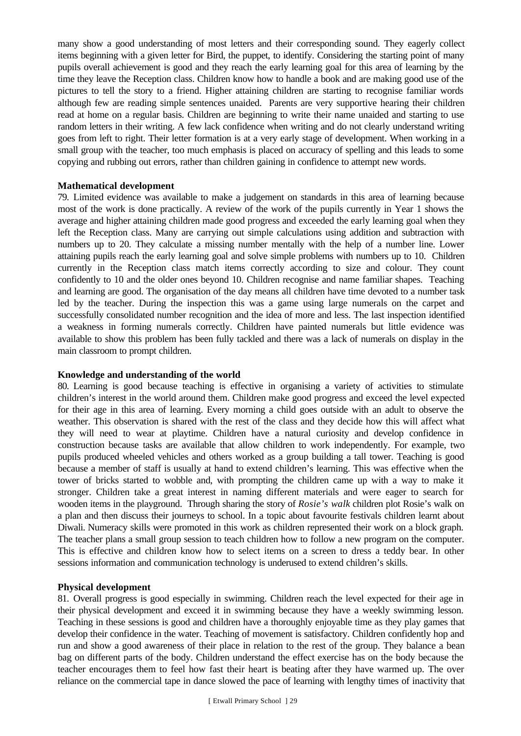many show a good understanding of most letters and their corresponding sound. They eagerly collect items beginning with a given letter for Bird, the puppet, to identify. Considering the starting point of many pupils overall achievement is good and they reach the early learning goal for this area of learning by the time they leave the Reception class. Children know how to handle a book and are making good use of the pictures to tell the story to a friend. Higher attaining children are starting to recognise familiar words although few are reading simple sentences unaided. Parents are very supportive hearing their children read at home on a regular basis. Children are beginning to write their name unaided and starting to use random letters in their writing. A few lack confidence when writing and do not clearly understand writing goes from left to right. Their letter formation is at a very early stage of development. When working in a small group with the teacher, too much emphasis is placed on accuracy of spelling and this leads to some copying and rubbing out errors, rather than children gaining in confidence to attempt new words.

#### **Mathematical development**

79. Limited evidence was available to make a judgement on standards in this area of learning because most of the work is done practically. A review of the work of the pupils currently in Year 1 shows the average and higher attaining children made good progress and exceeded the early learning goal when they left the Reception class. Many are carrying out simple calculations using addition and subtraction with numbers up to 20. They calculate a missing number mentally with the help of a number line. Lower attaining pupils reach the early learning goal and solve simple problems with numbers up to 10. Children currently in the Reception class match items correctly according to size and colour. They count confidently to 10 and the older ones beyond 10. Children recognise and name familiar shapes. Teaching and learning are good. The organisation of the day means all children have time devoted to a number task led by the teacher. During the inspection this was a game using large numerals on the carpet and successfully consolidated number recognition and the idea of more and less. The last inspection identified a weakness in forming numerals correctly. Children have painted numerals but little evidence was available to show this problem has been fully tackled and there was a lack of numerals on display in the main classroom to prompt children.

#### **Knowledge and understanding of the world**

80. Learning is good because teaching is effective in organising a variety of activities to stimulate children's interest in the world around them. Children make good progress and exceed the level expected for their age in this area of learning. Every morning a child goes outside with an adult to observe the weather. This observation is shared with the rest of the class and they decide how this will affect what they will need to wear at playtime. Children have a natural curiosity and develop confidence in construction because tasks are available that allow children to work independently. For example, two pupils produced wheeled vehicles and others worked as a group building a tall tower. Teaching is good because a member of staff is usually at hand to extend children's learning. This was effective when the tower of bricks started to wobble and, with prompting the children came up with a way to make it stronger. Children take a great interest in naming different materials and were eager to search for wooden items in the playground. Through sharing the story of *Rosie's walk* children plot Rosie's walk on a plan and then discuss their journeys to school. In a topic about favourite festivals children learnt about Diwali. Numeracy skills were promoted in this work as children represented their work on a block graph. The teacher plans a small group session to teach children how to follow a new program on the computer. This is effective and children know how to select items on a screen to dress a teddy bear. In other sessions information and communication technology is underused to extend children's skills.

#### **Physical development**

81. Overall progress is good especially in swimming. Children reach the level expected for their age in their physical development and exceed it in swimming because they have a weekly swimming lesson. Teaching in these sessions is good and children have a thoroughly enjoyable time as they play games that develop their confidence in the water. Teaching of movement is satisfactory. Children confidently hop and run and show a good awareness of their place in relation to the rest of the group. They balance a bean bag on different parts of the body. Children understand the effect exercise has on the body because the teacher encourages them to feel how fast their heart is beating after they have warmed up. The over reliance on the commercial tape in dance slowed the pace of learning with lengthy times of inactivity that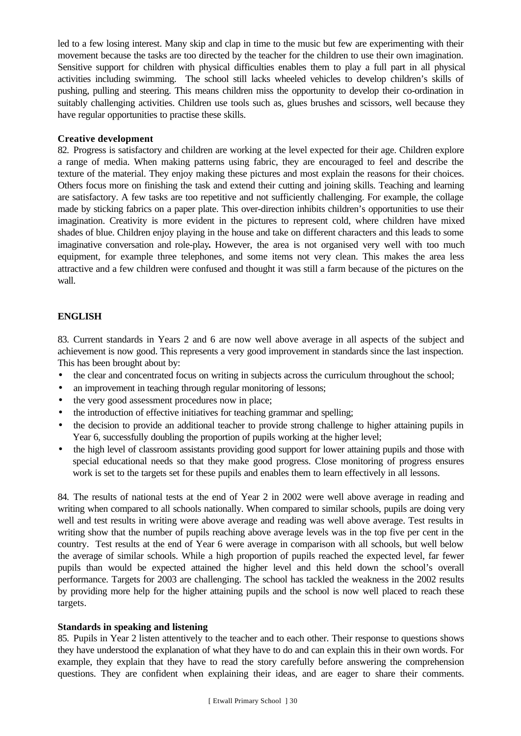led to a few losing interest. Many skip and clap in time to the music but few are experimenting with their movement because the tasks are too directed by the teacher for the children to use their own imagination. Sensitive support for children with physical difficulties enables them to play a full part in all physical activities including swimming. The school still lacks wheeled vehicles to develop children's skills of pushing, pulling and steering. This means children miss the opportunity to develop their co-ordination in suitably challenging activities. Children use tools such as, glues brushes and scissors, well because they have regular opportunities to practise these skills.

### **Creative development**

82. Progress is satisfactory and children are working at the level expected for their age. Children explore a range of media. When making patterns using fabric, they are encouraged to feel and describe the texture of the material. They enjoy making these pictures and most explain the reasons for their choices. Others focus more on finishing the task and extend their cutting and joining skills. Teaching and learning are satisfactory. A few tasks are too repetitive and not sufficiently challenging. For example, the collage made by sticking fabrics on a paper plate. This over-direction inhibits children's opportunities to use their imagination. Creativity is more evident in the pictures to represent cold, where children have mixed shades of blue. Children enjoy playing in the house and take on different characters and this leads to some imaginative conversation and role-play**.** However, the area is not organised very well with too much equipment, for example three telephones, and some items not very clean. This makes the area less attractive and a few children were confused and thought it was still a farm because of the pictures on the wall.

## **ENGLISH**

83. Current standards in Years 2 and 6 are now well above average in all aspects of the subject and achievement is now good. This represents a very good improvement in standards since the last inspection. This has been brought about by:

- the clear and concentrated focus on writing in subjects across the curriculum throughout the school;
- an improvement in teaching through regular monitoring of lessons;
- the very good assessment procedures now in place;
- the introduction of effective initiatives for teaching grammar and spelling;
- the decision to provide an additional teacher to provide strong challenge to higher attaining pupils in Year 6, successfully doubling the proportion of pupils working at the higher level;
- the high level of classroom assistants providing good support for lower attaining pupils and those with special educational needs so that they make good progress. Close monitoring of progress ensures work is set to the targets set for these pupils and enables them to learn effectively in all lessons.

84. The results of national tests at the end of Year 2 in 2002 were well above average in reading and writing when compared to all schools nationally. When compared to similar schools, pupils are doing very well and test results in writing were above average and reading was well above average. Test results in writing show that the number of pupils reaching above average levels was in the top five per cent in the country. Test results at the end of Year 6 were average in comparison with all schools, but well below the average of similar schools. While a high proportion of pupils reached the expected level, far fewer pupils than would be expected attained the higher level and this held down the school's overall performance. Targets for 2003 are challenging. The school has tackled the weakness in the 2002 results by providing more help for the higher attaining pupils and the school is now well placed to reach these targets.

## **Standards in speaking and listening**

85. Pupils in Year 2 listen attentively to the teacher and to each other. Their response to questions shows they have understood the explanation of what they have to do and can explain this in their own words. For example, they explain that they have to read the story carefully before answering the comprehension questions. They are confident when explaining their ideas, and are eager to share their comments.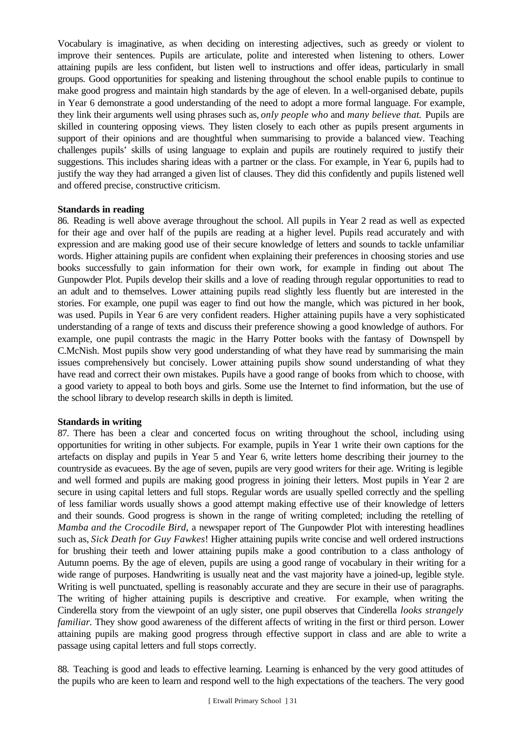Vocabulary is imaginative, as when deciding on interesting adjectives, such as greedy or violent to improve their sentences. Pupils are articulate, polite and interested when listening to others. Lower attaining pupils are less confident, but listen well to instructions and offer ideas, particularly in small groups. Good opportunities for speaking and listening throughout the school enable pupils to continue to make good progress and maintain high standards by the age of eleven. In a well-organised debate, pupils in Year 6 demonstrate a good understanding of the need to adopt a more formal language. For example, they link their arguments well using phrases such as, *only people who* and *many believe that.* Pupils are skilled in countering opposing views. They listen closely to each other as pupils present arguments in support of their opinions and are thoughtful when summarising to provide a balanced view. Teaching challenges pupils' skills of using language to explain and pupils are routinely required to justify their suggestions. This includes sharing ideas with a partner or the class. For example, in Year 6, pupils had to justify the way they had arranged a given list of clauses. They did this confidently and pupils listened well and offered precise, constructive criticism.

#### **Standards in reading**

86. Reading is well above average throughout the school. All pupils in Year 2 read as well as expected for their age and over half of the pupils are reading at a higher level. Pupils read accurately and with expression and are making good use of their secure knowledge of letters and sounds to tackle unfamiliar words. Higher attaining pupils are confident when explaining their preferences in choosing stories and use books successfully to gain information for their own work, for example in finding out about The Gunpowder Plot. Pupils develop their skills and a love of reading through regular opportunities to read to an adult and to themselves. Lower attaining pupils read slightly less fluently but are interested in the stories. For example, one pupil was eager to find out how the mangle, which was pictured in her book, was used. Pupils in Year 6 are very confident readers. Higher attaining pupils have a very sophisticated understanding of a range of texts and discuss their preference showing a good knowledge of authors. For example, one pupil contrasts the magic in the Harry Potter books with the fantasy of Downspell by C.McNish. Most pupils show very good understanding of what they have read by summarising the main issues comprehensively but concisely. Lower attaining pupils show sound understanding of what they have read and correct their own mistakes. Pupils have a good range of books from which to choose, with a good variety to appeal to both boys and girls. Some use the Internet to find information, but the use of the school library to develop research skills in depth is limited.

#### **Standards in writing**

87. There has been a clear and concerted focus on writing throughout the school, including using opportunities for writing in other subjects. For example, pupils in Year 1 write their own captions for the artefacts on display and pupils in Year 5 and Year 6, write letters home describing their journey to the countryside as evacuees. By the age of seven, pupils are very good writers for their age. Writing is legible and well formed and pupils are making good progress in joining their letters. Most pupils in Year 2 are secure in using capital letters and full stops. Regular words are usually spelled correctly and the spelling of less familiar words usually shows a good attempt making effective use of their knowledge of letters and their sounds. Good progress is shown in the range of writing completed; including the retelling of *Mamba and the Crocodile Bird*, a newspaper report of The Gunpowder Plot with interesting headlines such as, *Sick Death for Guy Fawkes*! Higher attaining pupils write concise and well ordered instructions for brushing their teeth and lower attaining pupils make a good contribution to a class anthology of Autumn poems. By the age of eleven, pupils are using a good range of vocabulary in their writing for a wide range of purposes. Handwriting is usually neat and the vast majority have a joined-up, legible style. Writing is well punctuated, spelling is reasonably accurate and they are secure in their use of paragraphs. The writing of higher attaining pupils is descriptive and creative. For example, when writing the Cinderella story from the viewpoint of an ugly sister, one pupil observes that Cinderella *looks strangely familiar.* They show good awareness of the different affects of writing in the first or third person. Lower attaining pupils are making good progress through effective support in class and are able to write a passage using capital letters and full stops correctly.

88. Teaching is good and leads to effective learning. Learning is enhanced by the very good attitudes of the pupils who are keen to learn and respond well to the high expectations of the teachers. The very good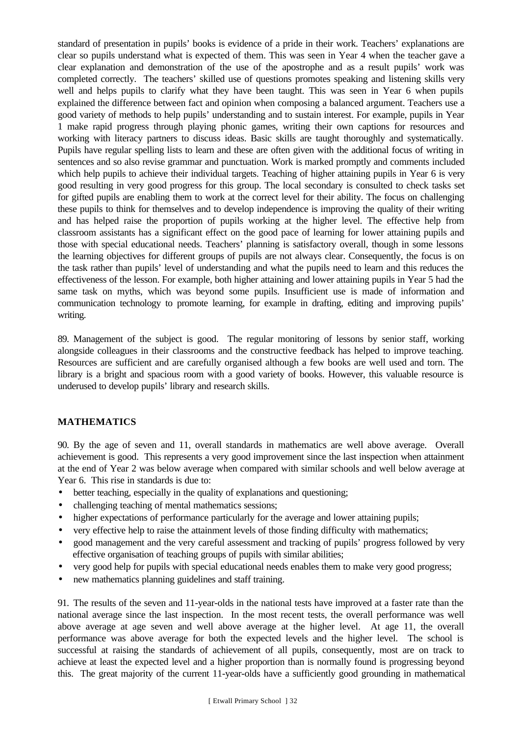standard of presentation in pupils' books is evidence of a pride in their work. Teachers' explanations are clear so pupils understand what is expected of them. This was seen in Year 4 when the teacher gave a clear explanation and demonstration of the use of the apostrophe and as a result pupils' work was completed correctly. The teachers' skilled use of questions promotes speaking and listening skills very well and helps pupils to clarify what they have been taught. This was seen in Year 6 when pupils explained the difference between fact and opinion when composing a balanced argument. Teachers use a good variety of methods to help pupils' understanding and to sustain interest. For example, pupils in Year 1 make rapid progress through playing phonic games, writing their own captions for resources and working with literacy partners to discuss ideas. Basic skills are taught thoroughly and systematically. Pupils have regular spelling lists to learn and these are often given with the additional focus of writing in sentences and so also revise grammar and punctuation. Work is marked promptly and comments included which help pupils to achieve their individual targets. Teaching of higher attaining pupils in Year 6 is very good resulting in very good progress for this group. The local secondary is consulted to check tasks set for gifted pupils are enabling them to work at the correct level for their ability. The focus on challenging these pupils to think for themselves and to develop independence is improving the quality of their writing and has helped raise the proportion of pupils working at the higher level. The effective help from classroom assistants has a significant effect on the good pace of learning for lower attaining pupils and those with special educational needs. Teachers' planning is satisfactory overall, though in some lessons the learning objectives for different groups of pupils are not always clear. Consequently, the focus is on the task rather than pupils' level of understanding and what the pupils need to learn and this reduces the effectiveness of the lesson. For example, both higher attaining and lower attaining pupils in Year 5 had the same task on myths, which was beyond some pupils. Insufficient use is made of information and communication technology to promote learning, for example in drafting, editing and improving pupils' writing.

89. Management of the subject is good. The regular monitoring of lessons by senior staff, working alongside colleagues in their classrooms and the constructive feedback has helped to improve teaching. Resources are sufficient and are carefully organised although a few books are well used and torn. The library is a bright and spacious room with a good variety of books. However, this valuable resource is underused to develop pupils' library and research skills.

## **MATHEMATICS**

90. By the age of seven and 11, overall standards in mathematics are well above average. Overall achievement is good. This represents a very good improvement since the last inspection when attainment at the end of Year 2 was below average when compared with similar schools and well below average at Year 6. This rise in standards is due to:

- better teaching, especially in the quality of explanations and questioning;
- challenging teaching of mental mathematics sessions;
- higher expectations of performance particularly for the average and lower attaining pupils;
- very effective help to raise the attainment levels of those finding difficulty with mathematics;
- good management and the very careful assessment and tracking of pupils' progress followed by very effective organisation of teaching groups of pupils with similar abilities;
- very good help for pupils with special educational needs enables them to make very good progress;
- new mathematics planning guidelines and staff training.

91. The results of the seven and 11-year-olds in the national tests have improved at a faster rate than the national average since the last inspection. In the most recent tests, the overall performance was well above average at age seven and well above average at the higher level. At age 11, the overall performance was above average for both the expected levels and the higher level. The school is successful at raising the standards of achievement of all pupils, consequently, most are on track to achieve at least the expected level and a higher proportion than is normally found is progressing beyond this. The great majority of the current 11-year-olds have a sufficiently good grounding in mathematical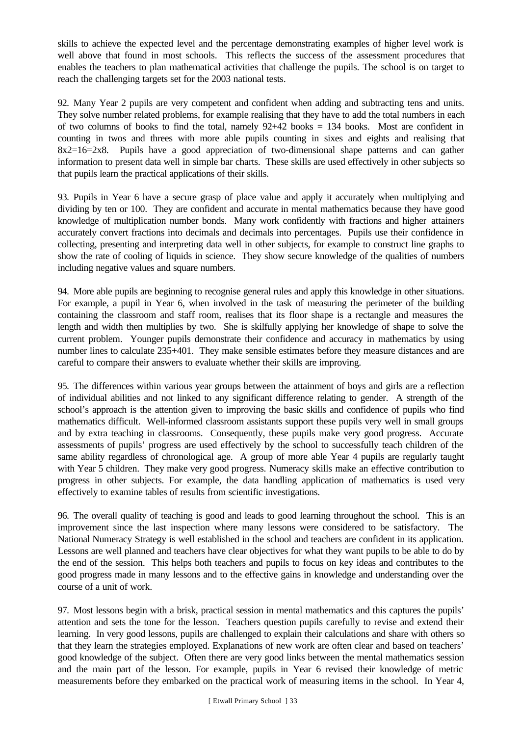skills to achieve the expected level and the percentage demonstrating examples of higher level work is well above that found in most schools. This reflects the success of the assessment procedures that enables the teachers to plan mathematical activities that challenge the pupils. The school is on target to reach the challenging targets set for the 2003 national tests.

92. Many Year 2 pupils are very competent and confident when adding and subtracting tens and units. They solve number related problems, for example realising that they have to add the total numbers in each of two columns of books to find the total, namely  $92+42$  books = 134 books. Most are confident in counting in twos and threes with more able pupils counting in sixes and eights and realising that 8x2=16=2x8. Pupils have a good appreciation of two-dimensional shape patterns and can gather information to present data well in simple bar charts. These skills are used effectively in other subjects so that pupils learn the practical applications of their skills.

93. Pupils in Year 6 have a secure grasp of place value and apply it accurately when multiplying and dividing by ten or 100. They are confident and accurate in mental mathematics because they have good knowledge of multiplication number bonds. Many work confidently with fractions and higher attainers accurately convert fractions into decimals and decimals into percentages. Pupils use their confidence in collecting, presenting and interpreting data well in other subjects, for example to construct line graphs to show the rate of cooling of liquids in science. They show secure knowledge of the qualities of numbers including negative values and square numbers.

94. More able pupils are beginning to recognise general rules and apply this knowledge in other situations. For example, a pupil in Year 6, when involved in the task of measuring the perimeter of the building containing the classroom and staff room, realises that its floor shape is a rectangle and measures the length and width then multiplies by two. She is skilfully applying her knowledge of shape to solve the current problem. Younger pupils demonstrate their confidence and accuracy in mathematics by using number lines to calculate 235+401. They make sensible estimates before they measure distances and are careful to compare their answers to evaluate whether their skills are improving.

95. The differences within various year groups between the attainment of boys and girls are a reflection of individual abilities and not linked to any significant difference relating to gender. A strength of the school's approach is the attention given to improving the basic skills and confidence of pupils who find mathematics difficult. Well-informed classroom assistants support these pupils very well in small groups and by extra teaching in classrooms. Consequently, these pupils make very good progress. Accurate assessments of pupils' progress are used effectively by the school to successfully teach children of the same ability regardless of chronological age. A group of more able Year 4 pupils are regularly taught with Year 5 children. They make very good progress. Numeracy skills make an effective contribution to progress in other subjects. For example, the data handling application of mathematics is used very effectively to examine tables of results from scientific investigations.

96. The overall quality of teaching is good and leads to good learning throughout the school. This is an improvement since the last inspection where many lessons were considered to be satisfactory. The National Numeracy Strategy is well established in the school and teachers are confident in its application. Lessons are well planned and teachers have clear objectives for what they want pupils to be able to do by the end of the session. This helps both teachers and pupils to focus on key ideas and contributes to the good progress made in many lessons and to the effective gains in knowledge and understanding over the course of a unit of work.

97. Most lessons begin with a brisk, practical session in mental mathematics and this captures the pupils' attention and sets the tone for the lesson. Teachers question pupils carefully to revise and extend their learning. In very good lessons, pupils are challenged to explain their calculations and share with others so that they learn the strategies employed. Explanations of new work are often clear and based on teachers' good knowledge of the subject. Often there are very good links between the mental mathematics session and the main part of the lesson. For example, pupils in Year 6 revised their knowledge of metric measurements before they embarked on the practical work of measuring items in the school. In Year 4,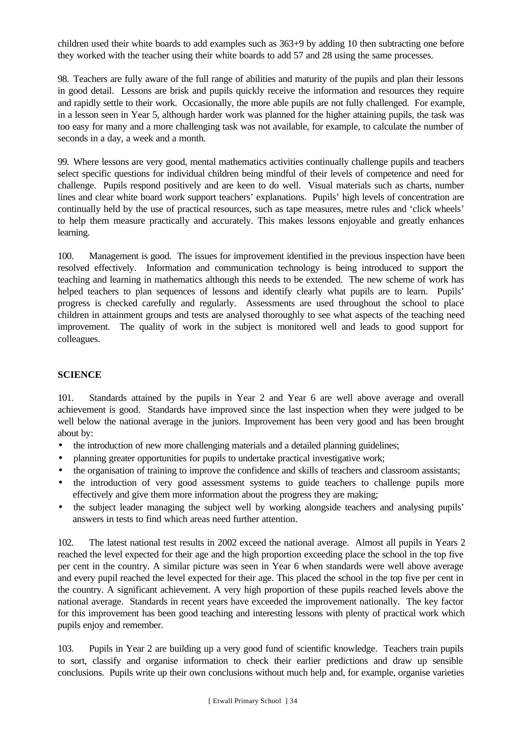children used their white boards to add examples such as 363+9 by adding 10 then subtracting one before they worked with the teacher using their white boards to add 57 and 28 using the same processes.

98. Teachers are fully aware of the full range of abilities and maturity of the pupils and plan their lessons in good detail. Lessons are brisk and pupils quickly receive the information and resources they require and rapidly settle to their work. Occasionally, the more able pupils are not fully challenged. For example, in a lesson seen in Year 5, although harder work was planned for the higher attaining pupils, the task was too easy for many and a more challenging task was not available, for example, to calculate the number of seconds in a day, a week and a month.

99. Where lessons are very good, mental mathematics activities continually challenge pupils and teachers select specific questions for individual children being mindful of their levels of competence and need for challenge. Pupils respond positively and are keen to do well. Visual materials such as charts, number lines and clear white board work support teachers' explanations. Pupils' high levels of concentration are continually held by the use of practical resources, such as tape measures, metre rules and 'click wheels' to help them measure practically and accurately. This makes lessons enjoyable and greatly enhances learning.

100. Management is good. The issues for improvement identified in the previous inspection have been resolved effectively. Information and communication technology is being introduced to support the teaching and learning in mathematics although this needs to be extended. The new scheme of work has helped teachers to plan sequences of lessons and identify clearly what pupils are to learn. Pupils' progress is checked carefully and regularly. Assessments are used throughout the school to place children in attainment groups and tests are analysed thoroughly to see what aspects of the teaching need improvement. The quality of work in the subject is monitored well and leads to good support for colleagues.

## **SCIENCE**

101. Standards attained by the pupils in Year 2 and Year 6 are well above average and overall achievement is good. Standards have improved since the last inspection when they were judged to be well below the national average in the juniors. Improvement has been very good and has been brought about by:

- the introduction of new more challenging materials and a detailed planning guidelines;
- planning greater opportunities for pupils to undertake practical investigative work;
- the organisation of training to improve the confidence and skills of teachers and classroom assistants;
- the introduction of very good assessment systems to guide teachers to challenge pupils more effectively and give them more information about the progress they are making;
- the subject leader managing the subject well by working alongside teachers and analysing pupils' answers in tests to find which areas need further attention.

102. The latest national test results in 2002 exceed the national average. Almost all pupils in Years 2 reached the level expected for their age and the high proportion exceeding place the school in the top five per cent in the country. A similar picture was seen in Year 6 when standards were well above average and every pupil reached the level expected for their age. This placed the school in the top five per cent in the country. A significant achievement. A very high proportion of these pupils reached levels above the national average. Standards in recent years have exceeded the improvement nationally. The key factor for this improvement has been good teaching and interesting lessons with plenty of practical work which pupils enjoy and remember.

103. Pupils in Year 2 are building up a very good fund of scientific knowledge. Teachers train pupils to sort, classify and organise information to check their earlier predictions and draw up sensible conclusions. Pupils write up their own conclusions without much help and, for example, organise varieties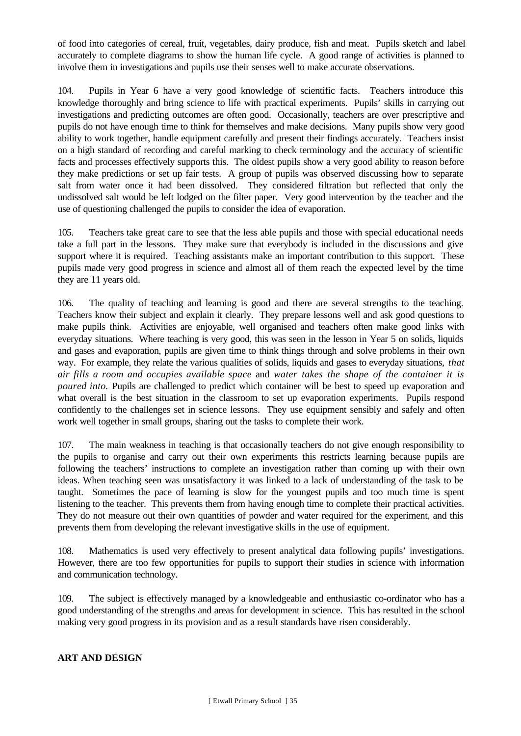of food into categories of cereal, fruit, vegetables, dairy produce, fish and meat. Pupils sketch and label accurately to complete diagrams to show the human life cycle. A good range of activities is planned to involve them in investigations and pupils use their senses well to make accurate observations.

104. Pupils in Year 6 have a very good knowledge of scientific facts. Teachers introduce this knowledge thoroughly and bring science to life with practical experiments. Pupils' skills in carrying out investigations and predicting outcomes are often good. Occasionally, teachers are over prescriptive and pupils do not have enough time to think for themselves and make decisions. Many pupils show very good ability to work together, handle equipment carefully and present their findings accurately. Teachers insist on a high standard of recording and careful marking to check terminology and the accuracy of scientific facts and processes effectively supports this. The oldest pupils show a very good ability to reason before they make predictions or set up fair tests. A group of pupils was observed discussing how to separate salt from water once it had been dissolved. They considered filtration but reflected that only the undissolved salt would be left lodged on the filter paper. Very good intervention by the teacher and the use of questioning challenged the pupils to consider the idea of evaporation.

105. Teachers take great care to see that the less able pupils and those with special educational needs take a full part in the lessons. They make sure that everybody is included in the discussions and give support where it is required. Teaching assistants make an important contribution to this support. These pupils made very good progress in science and almost all of them reach the expected level by the time they are 11 years old.

106. The quality of teaching and learning is good and there are several strengths to the teaching. Teachers know their subject and explain it clearly. They prepare lessons well and ask good questions to make pupils think. Activities are enjoyable, well organised and teachers often make good links with everyday situations. Where teaching is very good, this was seen in the lesson in Year 5 on solids, liquids and gases and evaporation, pupils are given time to think things through and solve problems in their own way. For example, they relate the various qualities of solids, liquids and gases to everyday situations, *that air fills a room and occupies available space* and *water takes the shape of the container it is poured into.* Pupils are challenged to predict which container will be best to speed up evaporation and what overall is the best situation in the classroom to set up evaporation experiments. Pupils respond confidently to the challenges set in science lessons. They use equipment sensibly and safely and often work well together in small groups, sharing out the tasks to complete their work.

107. The main weakness in teaching is that occasionally teachers do not give enough responsibility to the pupils to organise and carry out their own experiments this restricts learning because pupils are following the teachers' instructions to complete an investigation rather than coming up with their own ideas. When teaching seen was unsatisfactory it was linked to a lack of understanding of the task to be taught. Sometimes the pace of learning is slow for the youngest pupils and too much time is spent listening to the teacher. This prevents them from having enough time to complete their practical activities. They do not measure out their own quantities of powder and water required for the experiment, and this prevents them from developing the relevant investigative skills in the use of equipment.

108. Mathematics is used very effectively to present analytical data following pupils' investigations. However, there are too few opportunities for pupils to support their studies in science with information and communication technology.

109. The subject is effectively managed by a knowledgeable and enthusiastic co-ordinator who has a good understanding of the strengths and areas for development in science. This has resulted in the school making very good progress in its provision and as a result standards have risen considerably.

## **ART AND DESIGN**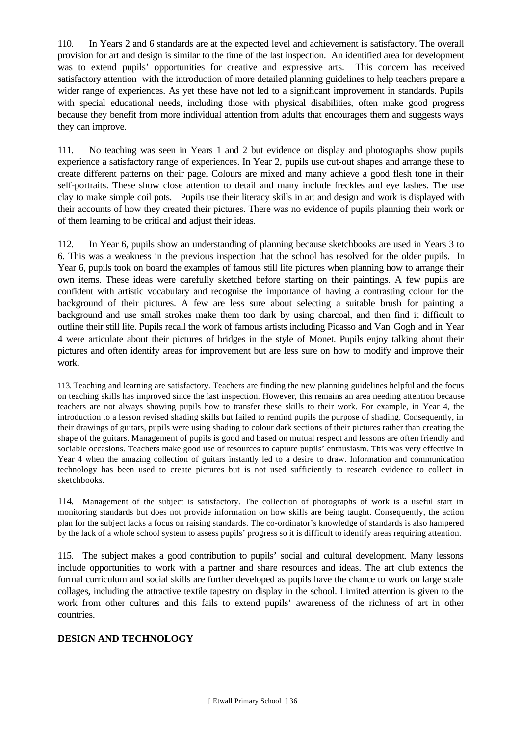110. In Years 2 and 6 standards are at the expected level and achievement is satisfactory. The overall provision for art and design is similar to the time of the last inspection. An identified area for development was to extend pupils' opportunities for creative and expressive arts. This concern has received satisfactory attention with the introduction of more detailed planning guidelines to help teachers prepare a wider range of experiences. As yet these have not led to a significant improvement in standards. Pupils with special educational needs, including those with physical disabilities, often make good progress because they benefit from more individual attention from adults that encourages them and suggests ways they can improve.

111. No teaching was seen in Years 1 and 2 but evidence on display and photographs show pupils experience a satisfactory range of experiences. In Year 2, pupils use cut-out shapes and arrange these to create different patterns on their page. Colours are mixed and many achieve a good flesh tone in their self-portraits. These show close attention to detail and many include freckles and eye lashes. The use clay to make simple coil pots. Pupils use their literacy skills in art and design and work is displayed with their accounts of how they created their pictures. There was no evidence of pupils planning their work or of them learning to be critical and adjust their ideas.

112. In Year 6, pupils show an understanding of planning because sketchbooks are used in Years 3 to 6. This was a weakness in the previous inspection that the school has resolved for the older pupils. In Year 6, pupils took on board the examples of famous still life pictures when planning how to arrange their own items. These ideas were carefully sketched before starting on their paintings. A few pupils are confident with artistic vocabulary and recognise the importance of having a contrasting colour for the background of their pictures. A few are less sure about selecting a suitable brush for painting a background and use small strokes make them too dark by using charcoal, and then find it difficult to outline their still life. Pupils recall the work of famous artists including Picasso and Van Gogh and in Year 4 were articulate about their pictures of bridges in the style of Monet. Pupils enjoy talking about their pictures and often identify areas for improvement but are less sure on how to modify and improve their work.

113. Teaching and learning are satisfactory. Teachers are finding the new planning guidelines helpful and the focus on teaching skills has improved since the last inspection. However, this remains an area needing attention because teachers are not always showing pupils how to transfer these skills to their work. For example, in Year 4, the introduction to a lesson revised shading skills but failed to remind pupils the purpose of shading. Consequently, in their drawings of guitars, pupils were using shading to colour dark sections of their pictures rather than creating the shape of the guitars. Management of pupils is good and based on mutual respect and lessons are often friendly and sociable occasions. Teachers make good use of resources to capture pupils' enthusiasm. This was very effective in Year 4 when the amazing collection of guitars instantly led to a desire to draw. Information and communication technology has been used to create pictures but is not used sufficiently to research evidence to collect in sketchbooks.

114. Management of the subject is satisfactory. The collection of photographs of work is a useful start in monitoring standards but does not provide information on how skills are being taught. Consequently, the action plan for the subject lacks a focus on raising standards. The co-ordinator's knowledge of standards is also hampered by the lack of a whole school system to assess pupils' progress so it is difficult to identify areas requiring attention.

115. The subject makes a good contribution to pupils' social and cultural development. Many lessons include opportunities to work with a partner and share resources and ideas. The art club extends the formal curriculum and social skills are further developed as pupils have the chance to work on large scale collages, including the attractive textile tapestry on display in the school. Limited attention is given to the work from other cultures and this fails to extend pupils' awareness of the richness of art in other countries.

## **DESIGN AND TECHNOLOGY**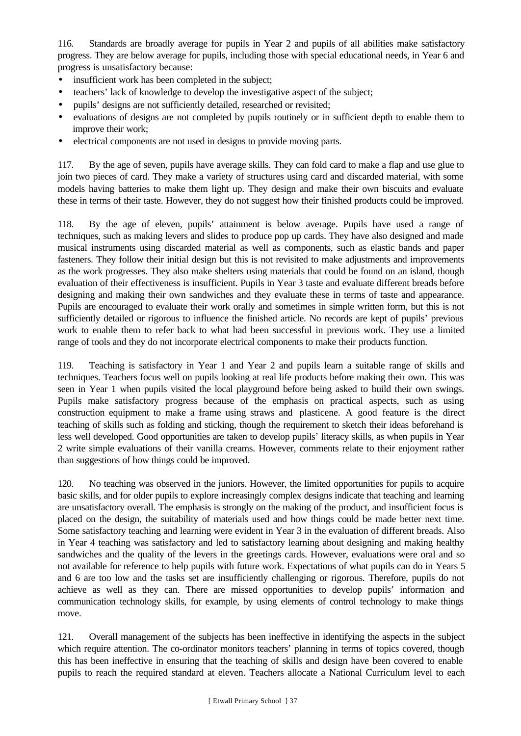116. Standards are broadly average for pupils in Year 2 and pupils of all abilities make satisfactory progress. They are below average for pupils, including those with special educational needs, in Year 6 and progress is unsatisfactory because:

- insufficient work has been completed in the subject;
- teachers' lack of knowledge to develop the investigative aspect of the subject;
- pupils' designs are not sufficiently detailed, researched or revisited;
- evaluations of designs are not completed by pupils routinely or in sufficient depth to enable them to improve their work;
- electrical components are not used in designs to provide moving parts.

117. By the age of seven, pupils have average skills. They can fold card to make a flap and use glue to join two pieces of card. They make a variety of structures using card and discarded material, with some models having batteries to make them light up. They design and make their own biscuits and evaluate these in terms of their taste. However, they do not suggest how their finished products could be improved.

118. By the age of eleven, pupils' attainment is below average. Pupils have used a range of techniques, such as making levers and slides to produce pop up cards. They have also designed and made musical instruments using discarded material as well as components, such as elastic bands and paper fasteners. They follow their initial design but this is not revisited to make adjustments and improvements as the work progresses. They also make shelters using materials that could be found on an island, though evaluation of their effectiveness is insufficient. Pupils in Year 3 taste and evaluate different breads before designing and making their own sandwiches and they evaluate these in terms of taste and appearance. Pupils are encouraged to evaluate their work orally and sometimes in simple written form, but this is not sufficiently detailed or rigorous to influence the finished article. No records are kept of pupils' previous work to enable them to refer back to what had been successful in previous work. They use a limited range of tools and they do not incorporate electrical components to make their products function.

119. Teaching is satisfactory in Year 1 and Year 2 and pupils learn a suitable range of skills and techniques. Teachers focus well on pupils looking at real life products before making their own. This was seen in Year 1 when pupils visited the local playground before being asked to build their own swings. Pupils make satisfactory progress because of the emphasis on practical aspects, such as using construction equipment to make a frame using straws and plasticene. A good feature is the direct teaching of skills such as folding and sticking, though the requirement to sketch their ideas beforehand is less well developed. Good opportunities are taken to develop pupils' literacy skills, as when pupils in Year 2 write simple evaluations of their vanilla creams. However, comments relate to their enjoyment rather than suggestions of how things could be improved.

120. No teaching was observed in the juniors. However, the limited opportunities for pupils to acquire basic skills, and for older pupils to explore increasingly complex designs indicate that teaching and learning are unsatisfactory overall. The emphasis is strongly on the making of the product, and insufficient focus is placed on the design, the suitability of materials used and how things could be made better next time. Some satisfactory teaching and learning were evident in Year 3 in the evaluation of different breads. Also in Year 4 teaching was satisfactory and led to satisfactory learning about designing and making healthy sandwiches and the quality of the levers in the greetings cards. However, evaluations were oral and so not available for reference to help pupils with future work. Expectations of what pupils can do in Years 5 and 6 are too low and the tasks set are insufficiently challenging or rigorous. Therefore, pupils do not achieve as well as they can. There are missed opportunities to develop pupils' information and communication technology skills, for example, by using elements of control technology to make things move.

121. Overall management of the subjects has been ineffective in identifying the aspects in the subject which require attention. The co-ordinator monitors teachers' planning in terms of topics covered, though this has been ineffective in ensuring that the teaching of skills and design have been covered to enable pupils to reach the required standard at eleven. Teachers allocate a National Curriculum level to each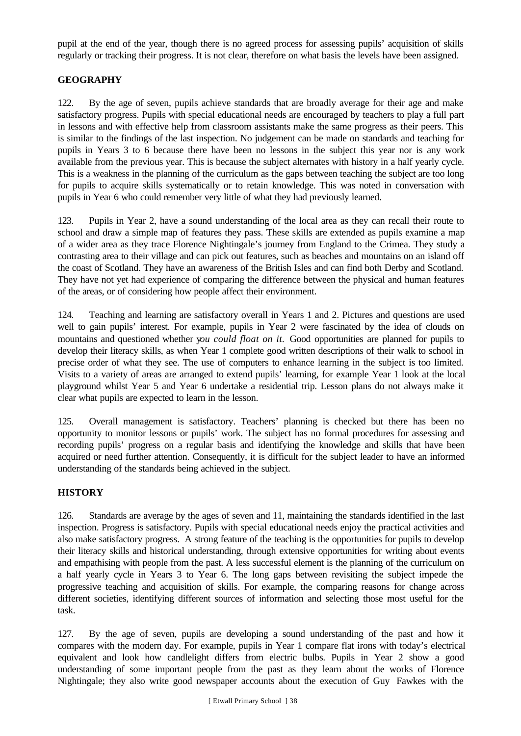pupil at the end of the year, though there is no agreed process for assessing pupils' acquisition of skills regularly or tracking their progress. It is not clear, therefore on what basis the levels have been assigned.

## **GEOGRAPHY**

122. By the age of seven, pupils achieve standards that are broadly average for their age and make satisfactory progress. Pupils with special educational needs are encouraged by teachers to play a full part in lessons and with effective help from classroom assistants make the same progress as their peers. This is similar to the findings of the last inspection. No judgement can be made on standards and teaching for pupils in Years 3 to 6 because there have been no lessons in the subject this year nor is any work available from the previous year. This is because the subject alternates with history in a half yearly cycle. This is a weakness in the planning of the curriculum as the gaps between teaching the subject are too long for pupils to acquire skills systematically or to retain knowledge. This was noted in conversation with pupils in Year 6 who could remember very little of what they had previously learned.

123. Pupils in Year 2, have a sound understanding of the local area as they can recall their route to school and draw a simple map of features they pass. These skills are extended as pupils examine a map of a wider area as they trace Florence Nightingale's journey from England to the Crimea. They study a contrasting area to their village and can pick out features, such as beaches and mountains on an island off the coast of Scotland. They have an awareness of the British Isles and can find both Derby and Scotland. They have not yet had experience of comparing the difference between the physical and human features of the areas, or of considering how people affect their environment.

124. Teaching and learning are satisfactory overall in Years 1 and 2. Pictures and questions are used well to gain pupils' interest. For example, pupils in Year 2 were fascinated by the idea of clouds on mountains and questioned whether y*ou could float on it.* Good opportunities are planned for pupils to develop their literacy skills, as when Year 1 complete good written descriptions of their walk to school in precise order of what they see. The use of computers to enhance learning in the subject is too limited. Visits to a variety of areas are arranged to extend pupils' learning, for example Year 1 look at the local playground whilst Year 5 and Year 6 undertake a residential trip. Lesson plans do not always make it clear what pupils are expected to learn in the lesson.

125. Overall management is satisfactory. Teachers' planning is checked but there has been no opportunity to monitor lessons or pupils' work. The subject has no formal procedures for assessing and recording pupils' progress on a regular basis and identifying the knowledge and skills that have been acquired or need further attention. Consequently, it is difficult for the subject leader to have an informed understanding of the standards being achieved in the subject.

## **HISTORY**

126. Standards are average by the ages of seven and 11, maintaining the standards identified in the last inspection. Progress is satisfactory. Pupils with special educational needs enjoy the practical activities and also make satisfactory progress. A strong feature of the teaching is the opportunities for pupils to develop their literacy skills and historical understanding, through extensive opportunities for writing about events and empathising with people from the past. A less successful element is the planning of the curriculum on a half yearly cycle in Years 3 to Year 6. The long gaps between revisiting the subject impede the progressive teaching and acquisition of skills. For example, the comparing reasons for change across different societies, identifying different sources of information and selecting those most useful for the task.

127. By the age of seven, pupils are developing a sound understanding of the past and how it compares with the modern day. For example, pupils in Year 1 compare flat irons with today's electrical equivalent and look how candlelight differs from electric bulbs. Pupils in Year 2 show a good understanding of some important people from the past as they learn about the works of Florence Nightingale; they also write good newspaper accounts about the execution of Guy Fawkes with the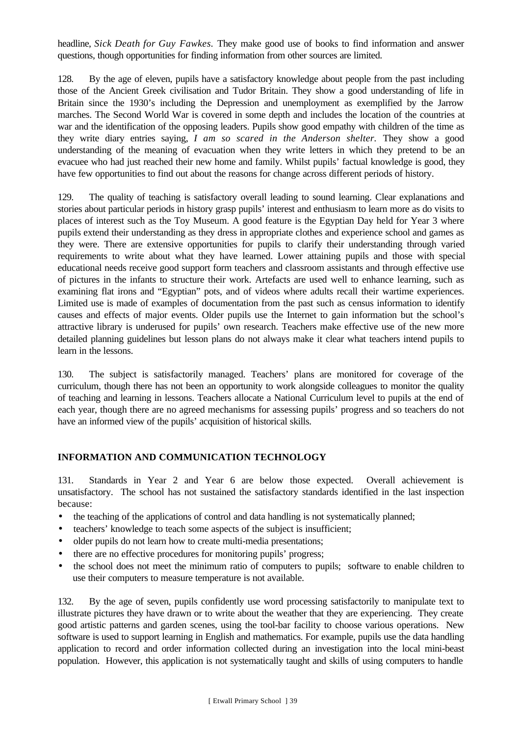headline, *Sick Death for Guy Fawkes.* They make good use of books to find information and answer questions, though opportunities for finding information from other sources are limited.

128. By the age of eleven, pupils have a satisfactory knowledge about people from the past including those of the Ancient Greek civilisation and Tudor Britain. They show a good understanding of life in Britain since the 1930's including the Depression and unemployment as exemplified by the Jarrow marches. The Second World War is covered in some depth and includes the location of the countries at war and the identification of the opposing leaders. Pupils show good empathy with children of the time as they write diary entries saying, *I am so scared in the Anderson shelter.* They show a good understanding of the meaning of evacuation when they write letters in which they pretend to be an evacuee who had just reached their new home and family. Whilst pupils' factual knowledge is good, they have few opportunities to find out about the reasons for change across different periods of history.

129. The quality of teaching is satisfactory overall leading to sound learning. Clear explanations and stories about particular periods in history grasp pupils' interest and enthusiasm to learn more as do visits to places of interest such as the Toy Museum. A good feature is the Egyptian Day held for Year 3 where pupils extend their understanding as they dress in appropriate clothes and experience school and games as they were. There are extensive opportunities for pupils to clarify their understanding through varied requirements to write about what they have learned. Lower attaining pupils and those with special educational needs receive good support form teachers and classroom assistants and through effective use of pictures in the infants to structure their work. Artefacts are used well to enhance learning, such as examining flat irons and "Egyptian" pots, and of videos where adults recall their wartime experiences. Limited use is made of examples of documentation from the past such as census information to identify causes and effects of major events. Older pupils use the Internet to gain information but the school's attractive library is underused for pupils' own research. Teachers make effective use of the new more detailed planning guidelines but lesson plans do not always make it clear what teachers intend pupils to learn in the lessons.

130. The subject is satisfactorily managed. Teachers' plans are monitored for coverage of the curriculum, though there has not been an opportunity to work alongside colleagues to monitor the quality of teaching and learning in lessons. Teachers allocate a National Curriculum level to pupils at the end of each year, though there are no agreed mechanisms for assessing pupils' progress and so teachers do not have an informed view of the pupils' acquisition of historical skills.

## **INFORMATION AND COMMUNICATION TECHNOLOGY**

131. Standards in Year 2 and Year 6 are below those expected. Overall achievement is unsatisfactory. The school has not sustained the satisfactory standards identified in the last inspection because:

- the teaching of the applications of control and data handling is not systematically planned;
- teachers' knowledge to teach some aspects of the subject is insufficient;
- older pupils do not learn how to create multi-media presentations;
- there are no effective procedures for monitoring pupils' progress;
- the school does not meet the minimum ratio of computers to pupils; software to enable children to use their computers to measure temperature is not available.

132. By the age of seven, pupils confidently use word processing satisfactorily to manipulate text to illustrate pictures they have drawn or to write about the weather that they are experiencing. They create good artistic patterns and garden scenes, using the tool-bar facility to choose various operations. New software is used to support learning in English and mathematics. For example, pupils use the data handling application to record and order information collected during an investigation into the local mini-beast population. However, this application is not systematically taught and skills of using computers to handle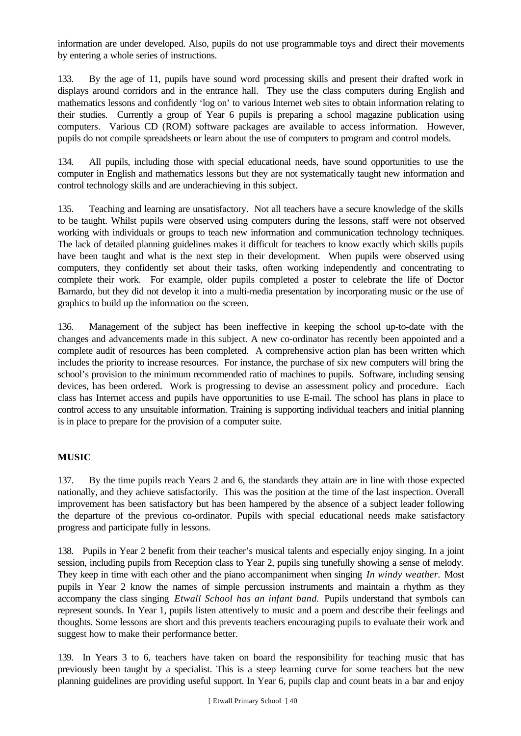information are under developed. Also, pupils do not use programmable toys and direct their movements by entering a whole series of instructions.

133. By the age of 11, pupils have sound word processing skills and present their drafted work in displays around corridors and in the entrance hall. They use the class computers during English and mathematics lessons and confidently 'log on' to various Internet web sites to obtain information relating to their studies. Currently a group of Year 6 pupils is preparing a school magazine publication using computers. Various CD (ROM) software packages are available to access information. However, pupils do not compile spreadsheets or learn about the use of computers to program and control models.

134. All pupils, including those with special educational needs, have sound opportunities to use the computer in English and mathematics lessons but they are not systematically taught new information and control technology skills and are underachieving in this subject.

135. Teaching and learning are unsatisfactory. Not all teachers have a secure knowledge of the skills to be taught. Whilst pupils were observed using computers during the lessons, staff were not observed working with individuals or groups to teach new information and communication technology techniques. The lack of detailed planning guidelines makes it difficult for teachers to know exactly which skills pupils have been taught and what is the next step in their development. When pupils were observed using computers, they confidently set about their tasks, often working independently and concentrating to complete their work. For example, older pupils completed a poster to celebrate the life of Doctor Barnardo, but they did not develop it into a multi-media presentation by incorporating music or the use of graphics to build up the information on the screen.

136. Management of the subject has been ineffective in keeping the school up-to-date with the changes and advancements made in this subject. A new co-ordinator has recently been appointed and a complete audit of resources has been completed. A comprehensive action plan has been written which includes the priority to increase resources. For instance, the purchase of six new computers will bring the school's provision to the minimum recommended ratio of machines to pupils. Software, including sensing devices, has been ordered. Work is progressing to devise an assessment policy and procedure. Each class has Internet access and pupils have opportunities to use E-mail. The school has plans in place to control access to any unsuitable information. Training is supporting individual teachers and initial planning is in place to prepare for the provision of a computer suite.

## **MUSIC**

137. By the time pupils reach Years 2 and 6, the standards they attain are in line with those expected nationally, and they achieve satisfactorily. This was the position at the time of the last inspection. Overall improvement has been satisfactory but has been hampered by the absence of a subject leader following the departure of the previous co-ordinator. Pupils with special educational needs make satisfactory progress and participate fully in lessons.

138. Pupils in Year 2 benefit from their teacher's musical talents and especially enjoy singing. In a joint session, including pupils from Reception class to Year 2, pupils sing tunefully showing a sense of melody. They keep in time with each other and the piano accompaniment when singing *In windy weather.* Most pupils in Year 2 know the names of simple percussion instruments and maintain a rhythm as they accompany the class singing *Etwall School has an infant band.* Pupils understand that symbols can represent sounds. In Year 1, pupils listen attentively to music and a poem and describe their feelings and thoughts. Some lessons are short and this prevents teachers encouraging pupils to evaluate their work and suggest how to make their performance better.

139. In Years 3 to 6, teachers have taken on board the responsibility for teaching music that has previously been taught by a specialist. This is a steep learning curve for some teachers but the new planning guidelines are providing useful support. In Year 6, pupils clap and count beats in a bar and enjoy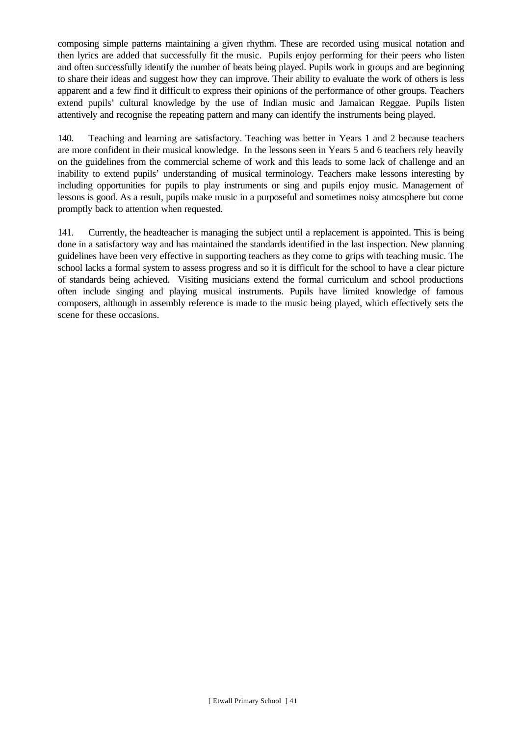composing simple patterns maintaining a given rhythm. These are recorded using musical notation and then lyrics are added that successfully fit the music. Pupils enjoy performing for their peers who listen and often successfully identify the number of beats being played. Pupils work in groups and are beginning to share their ideas and suggest how they can improve. Their ability to evaluate the work of others is less apparent and a few find it difficult to express their opinions of the performance of other groups. Teachers extend pupils' cultural knowledge by the use of Indian music and Jamaican Reggae. Pupils listen attentively and recognise the repeating pattern and many can identify the instruments being played.

140. Teaching and learning are satisfactory. Teaching was better in Years 1 and 2 because teachers are more confident in their musical knowledge. In the lessons seen in Years 5 and 6 teachers rely heavily on the guidelines from the commercial scheme of work and this leads to some lack of challenge and an inability to extend pupils' understanding of musical terminology. Teachers make lessons interesting by including opportunities for pupils to play instruments or sing and pupils enjoy music. Management of lessons is good. As a result, pupils make music in a purposeful and sometimes noisy atmosphere but come promptly back to attention when requested.

141. Currently, the headteacher is managing the subject until a replacement is appointed. This is being done in a satisfactory way and has maintained the standards identified in the last inspection. New planning guidelines have been very effective in supporting teachers as they come to grips with teaching music. The school lacks a formal system to assess progress and so it is difficult for the school to have a clear picture of standards being achieved. Visiting musicians extend the formal curriculum and school productions often include singing and playing musical instruments. Pupils have limited knowledge of famous composers, although in assembly reference is made to the music being played, which effectively sets the scene for these occasions.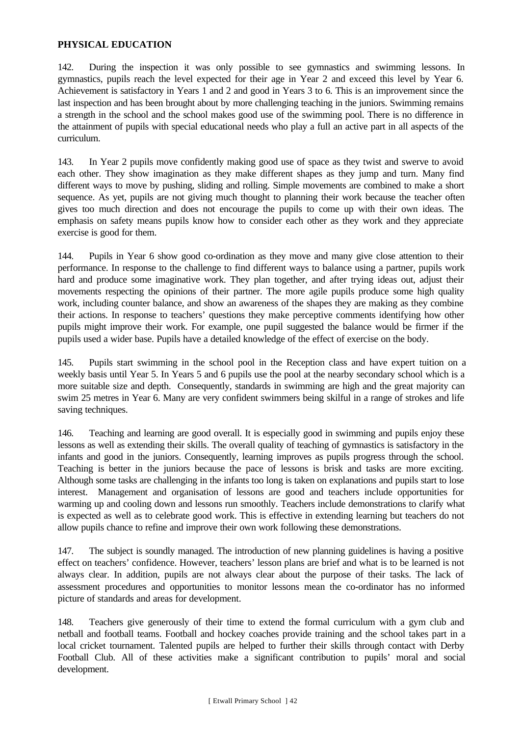## **PHYSICAL EDUCATION**

142. During the inspection it was only possible to see gymnastics and swimming lessons. In gymnastics, pupils reach the level expected for their age in Year 2 and exceed this level by Year 6. Achievement is satisfactory in Years 1 and 2 and good in Years 3 to 6. This is an improvement since the last inspection and has been brought about by more challenging teaching in the juniors. Swimming remains a strength in the school and the school makes good use of the swimming pool. There is no difference in the attainment of pupils with special educational needs who play a full an active part in all aspects of the curriculum.

143. In Year 2 pupils move confidently making good use of space as they twist and swerve to avoid each other. They show imagination as they make different shapes as they jump and turn. Many find different ways to move by pushing, sliding and rolling. Simple movements are combined to make a short sequence. As yet, pupils are not giving much thought to planning their work because the teacher often gives too much direction and does not encourage the pupils to come up with their own ideas. The emphasis on safety means pupils know how to consider each other as they work and they appreciate exercise is good for them.

144. Pupils in Year 6 show good co-ordination as they move and many give close attention to their performance. In response to the challenge to find different ways to balance using a partner, pupils work hard and produce some imaginative work. They plan together, and after trying ideas out, adjust their movements respecting the opinions of their partner. The more agile pupils produce some high quality work, including counter balance, and show an awareness of the shapes they are making as they combine their actions. In response to teachers' questions they make perceptive comments identifying how other pupils might improve their work. For example, one pupil suggested the balance would be firmer if the pupils used a wider base. Pupils have a detailed knowledge of the effect of exercise on the body.

145. Pupils start swimming in the school pool in the Reception class and have expert tuition on a weekly basis until Year 5. In Years 5 and 6 pupils use the pool at the nearby secondary school which is a more suitable size and depth. Consequently, standards in swimming are high and the great majority can swim 25 metres in Year 6. Many are very confident swimmers being skilful in a range of strokes and life saving techniques.

146. Teaching and learning are good overall. It is especially good in swimming and pupils enjoy these lessons as well as extending their skills. The overall quality of teaching of gymnastics is satisfactory in the infants and good in the juniors. Consequently, learning improves as pupils progress through the school. Teaching is better in the juniors because the pace of lessons is brisk and tasks are more exciting. Although some tasks are challenging in the infants too long is taken on explanations and pupils start to lose interest. Management and organisation of lessons are good and teachers include opportunities for warming up and cooling down and lessons run smoothly. Teachers include demonstrations to clarify what is expected as well as to celebrate good work. This is effective in extending learning but teachers do not allow pupils chance to refine and improve their own work following these demonstrations.

147. The subject is soundly managed. The introduction of new planning guidelines is having a positive effect on teachers' confidence. However, teachers' lesson plans are brief and what is to be learned is not always clear. In addition, pupils are not always clear about the purpose of their tasks. The lack of assessment procedures and opportunities to monitor lessons mean the co-ordinator has no informed picture of standards and areas for development.

148. Teachers give generously of their time to extend the formal curriculum with a gym club and netball and football teams. Football and hockey coaches provide training and the school takes part in a local cricket tournament. Talented pupils are helped to further their skills through contact with Derby Football Club. All of these activities make a significant contribution to pupils' moral and social development.